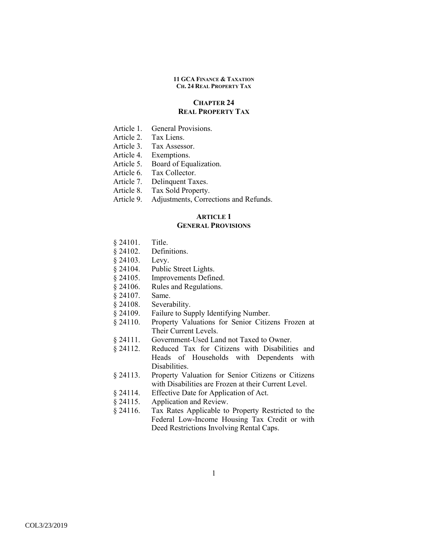# **CHAPTER 24 REAL PROPERTY TAX**

- Article 1. General Provisions.
- Article 2. Tax Liens.
- Article 3. Tax Assessor.
- Article 4. Exemptions.
- Article 5. Board of Equalization.
- Article 6. Tax Collector.
- Article 7. Delinquent Taxes.
- Article 8. Tax Sold Property.
- Article 9. Adjustments, Corrections and Refunds.

# **ARTICLE 1**

# **GENERAL PROVISIONS**

- § 24101. Title.
- § 24102. Definitions.
- § 24103. Levy.
- § 24104. Public Street Lights.
- § 24105. Improvements Defined.
- § 24106. Rules and Regulations.
- § 24107. Same.
- § 24108. Severability.
- § 24109. Failure to Supply Identifying Number.
- § 24110. Property Valuations for Senior Citizens Frozen at Their Current Levels.
- § 24111. Government-Used Land not Taxed to Owner.
- § 24112. Reduced Tax for Citizens with Disabilities and Heads of Households with Dependents with Disabilities.
- § 24113. Property Valuation for Senior Citizens or Citizens with Disabilities are Frozen at their Current Level.
- § 24114. Effective Date for Application of Act.
- § 24115. Application and Review.
- § 24116. Tax Rates Applicable to Property Restricted to the Federal Low-Income Housing Tax Credit or with Deed Restrictions Involving Rental Caps.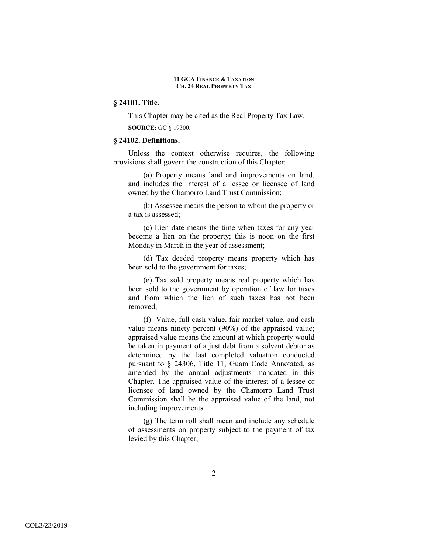# **§ 24101. Title.**

This Chapter may be cited as the Real Property Tax Law.

**SOURCE:** GC § 19300.

## **§ 24102. Definitions.**

Unless the context otherwise requires, the following provisions shall govern the construction of this Chapter:

(a) Property means land and improvements on land, and includes the interest of a lessee or licensee of land owned by the Chamorro Land Trust Commission;

(b) Assessee means the person to whom the property or a tax is assessed;

(c) Lien date means the time when taxes for any year become a lien on the property; this is noon on the first Monday in March in the year of assessment;

(d) Tax deeded property means property which has been sold to the government for taxes;

(e) Tax sold property means real property which has been sold to the government by operation of law for taxes and from which the lien of such taxes has not been removed;

(f) Value, full cash value, fair market value, and cash value means ninety percent (90%) of the appraised value; appraised value means the amount at which property would be taken in payment of a just debt from a solvent debtor as determined by the last completed valuation conducted pursuant to § 24306, Title 11, Guam Code Annotated, as amended by the annual adjustments mandated in this Chapter. The appraised value of the interest of a lessee or licensee of land owned by the Chamorro Land Trust Commission shall be the appraised value of the land, not including improvements.

(g) The term roll shall mean and include any schedule of assessments on property subject to the payment of tax levied by this Chapter;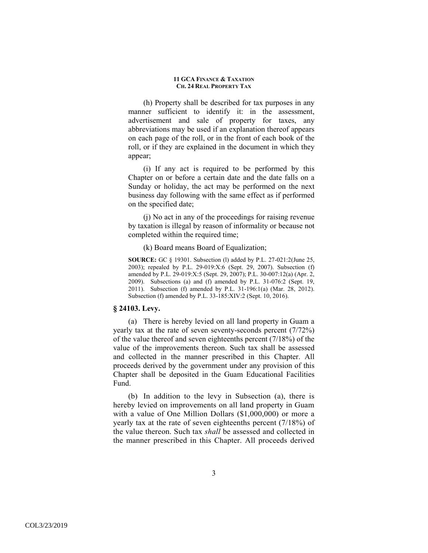(h) Property shall be described for tax purposes in any manner sufficient to identify it: in the assessment, advertisement and sale of property for taxes, any abbreviations may be used if an explanation thereof appears on each page of the roll, or in the front of each book of the roll, or if they are explained in the document in which they appear;

(i) If any act is required to be performed by this Chapter on or before a certain date and the date falls on a Sunday or holiday, the act may be performed on the next business day following with the same effect as if performed on the specified date;

(j) No act in any of the proceedings for raising revenue by taxation is illegal by reason of informality or because not completed within the required time;

(k) Board means Board of Equalization;

**SOURCE:** GC § 19301. Subsection (I) added by P.L. 27-021:2(June 25, 2003); repealed by P.L. 29-019:X:6 (Sept. 29, 2007). Subsection (f) amended by P.L. 29-019:X:5 (Sept. 29, 2007); P.L. 30-007:12(a) (Apr. 2, 2009). Subsections (a) and (f) amended by P.L. 31-076:2 (Sept. 19, 2011). Subsection (f) amended by P.L. 31-196:1(a) (Mar. 28, 2012). Subsection (f) amended by P.L. 33-185:XIV:2 (Sept. 10, 2016).

### **§ 24103. Levy.**

(a) There is hereby levied on all land property in Guam a yearly tax at the rate of seven seventy-seconds percent (7/72%) of the value thereof and seven eighteenths percent (7/18%) of the value of the improvements thereon. Such tax shall be assessed and collected in the manner prescribed in this Chapter. All proceeds derived by the government under any provision of this Chapter shall be deposited in the Guam Educational Facilities Fund.

(b) In addition to the levy in Subsection (a), there is hereby levied on improvements on all land property in Guam with a value of One Million Dollars (\$1,000,000) or more a yearly tax at the rate of seven eighteenths percent (7/18%) of the value thereon. Such tax *shall* be assessed and collected in the manner prescribed in this Chapter. All proceeds derived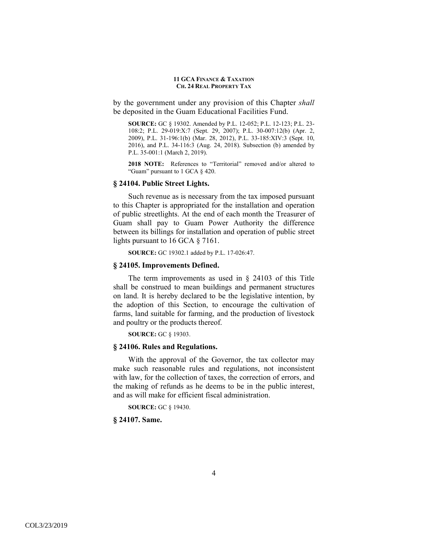by the government under any provision of this Chapter *shall* be deposited in the Guam Educational Facilities Fund.

**SOURCE:** GC § 19302. Amended by P.L. 12-052; P.L. 12-123; P.L. 23- 108:2; P.L. 29-019:X:7 (Sept. 29, 2007); P.L. 30-007:12(b) (Apr. 2, 2009), P.L. 31-196:1(b) (Mar. 28, 2012), P.L. 33-185:XIV:3 (Sept. 10, 2016), and P.L. 34-116:3 (Aug. 24, 2018). Subsection (b) amended by P.L. 35-001:1 (March 2, 2019).

**2018 NOTE:** References to "Territorial" removed and/or altered to "Guam" pursuant to 1 GCA § 420.

## **§ 24104. Public Street Lights.**

Such revenue as is necessary from the tax imposed pursuant to this Chapter is appropriated for the installation and operation of public streetlights. At the end of each month the Treasurer of Guam shall pay to Guam Power Authority the difference between its billings for installation and operation of public street lights pursuant to 16 GCA § 7161.

**SOURCE:** GC 19302.1 added by P.L. 17-026:47.

#### **§ 24105. Improvements Defined.**

The term improvements as used in § 24103 of this Title shall be construed to mean buildings and permanent structures on land. It is hereby declared to be the legislative intention, by the adoption of this Section, to encourage the cultivation of farms, land suitable for farming, and the production of livestock and poultry or the products thereof.

**SOURCE:** GC § 19303.

### **§ 24106. Rules and Regulations.**

With the approval of the Governor, the tax collector may make such reasonable rules and regulations, not inconsistent with law, for the collection of taxes, the correction of errors, and the making of refunds as he deems to be in the public interest, and as will make for efficient fiscal administration.

**SOURCE:** GC § 19430.

**§ 24107. Same.**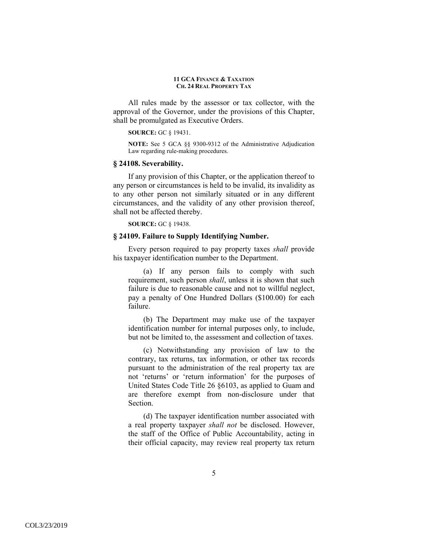All rules made by the assessor or tax collector, with the approval of the Governor, under the provisions of this Chapter, shall be promulgated as Executive Orders.

#### **SOURCE:** GC § 19431.

**NOTE:** See 5 GCA §§ 9300-9312 of the Administrative Adjudication Law regarding rule-making procedures.

#### **§ 24108. Severability.**

If any provision of this Chapter, or the application thereof to any person or circumstances is held to be invalid, its invalidity as to any other person not similarly situated or in any different circumstances, and the validity of any other provision thereof, shall not be affected thereby.

**SOURCE:** GC § 19438.

# **§ 24109. Failure to Supply Identifying Number.**

Every person required to pay property taxes *shall* provide his taxpayer identification number to the Department.

(a) If any person fails to comply with such requirement, such person *shall*, unless it is shown that such failure is due to reasonable cause and not to willful neglect, pay a penalty of One Hundred Dollars (\$100.00) for each failure.

(b) The Department may make use of the taxpayer identification number for internal purposes only, to include, but not be limited to, the assessment and collection of taxes.

(c) Notwithstanding any provision of law to the contrary, tax returns, tax information, or other tax records pursuant to the administration of the real property tax are not 'returns' or 'return information' for the purposes of United States Code Title 26 §6103, as applied to Guam and are therefore exempt from non-disclosure under that Section.

(d) The taxpayer identification number associated with a real property taxpayer *shall not* be disclosed. However, the staff of the Office of Public Accountability, acting in their official capacity, may review real property tax return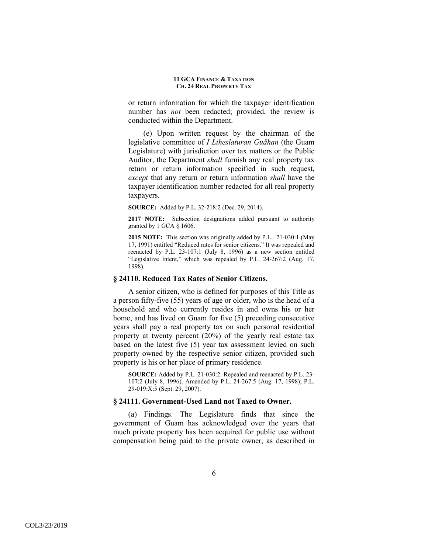or return information for which the taxpayer identification number has *not* been redacted; provided, the review is conducted within the Department.

(e) Upon written request by the chairman of the legislative committee of *I Liheslaturan Guåhan* (the Guam Legislature) with jurisdiction over tax matters or the Public Auditor, the Department *shall* furnish any real property tax return or return information specified in such request, *except* that any return or return information *shall* have the taxpayer identification number redacted for all real property taxpayers.

**SOURCE:** Added by P.L. 32-218:2 (Dec. 29, 2014).

**2017 NOTE:** Subsection designations added pursuant to authority granted by 1 GCA § 1606.

**2015 NOTE:** This section was originally added by P.L. 21-030:1 (May 17, 1991) entitled "Reduced rates for senior citizens." It was repealed and reenacted by P.L. 23-107:1 (July 8, 1996) as a new section entitled "Legislative Intent," which was repealed by P.L. 24-267:2 (Aug. 17, 1998).

### **§ 24110. Reduced Tax Rates of Senior Citizens.**

A senior citizen, who is defined for purposes of this Title as a person fifty-five (55) years of age or older, who is the head of a household and who currently resides in and owns his or her home, and has lived on Guam for five (5) preceding consecutive years shall pay a real property tax on such personal residential property at twenty percent (20%) of the yearly real estate tax based on the latest five (5) year tax assessment levied on such property owned by the respective senior citizen, provided such property is his or her place of primary residence.

**SOURCE:** Added by P.L. 21-030:2. Repealed and reenacted by P.L. 23- 107:2 (July 8, 1996). Amended by P.L. 24-267:5 (Aug. 17, 1998); P.L. 29-019:X:5 (Sept. 29, 2007).

### **§ 24111. Government-Used Land not Taxed to Owner.**

(a) Findings. The Legislature finds that since the government of Guam has acknowledged over the years that much private property has been acquired for public use without compensation being paid to the private owner, as described in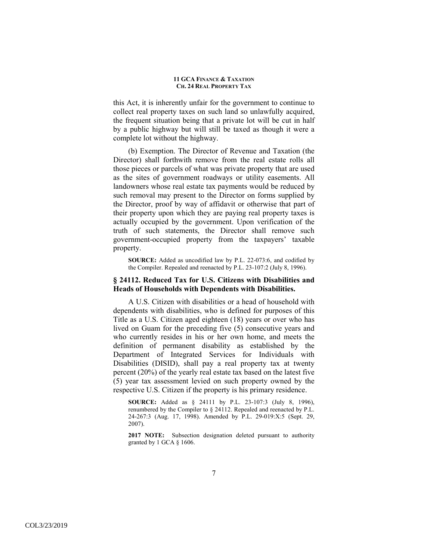this Act, it is inherently unfair for the government to continue to collect real property taxes on such land so unlawfully acquired, the frequent situation being that a private lot will be cut in half by a public highway but will still be taxed as though it were a complete lot without the highway.

(b) Exemption. The Director of Revenue and Taxation (the Director) shall forthwith remove from the real estate rolls all those pieces or parcels of what was private property that are used as the sites of government roadways or utility easements. All landowners whose real estate tax payments would be reduced by such removal may present to the Director on forms supplied by the Director, proof by way of affidavit or otherwise that part of their property upon which they are paying real property taxes is actually occupied by the government. Upon verification of the truth of such statements, the Director shall remove such government-occupied property from the taxpayers' taxable property.

**SOURCE:** Added as uncodified law by P.L. 22-073:6, and codified by the Compiler. Repealed and reenacted by P.L. 23-107:2 (July 8, 1996).

## **§ 24112. Reduced Tax for U.S. Citizens with Disabilities and Heads of Households with Dependents with Disabilities.**

 A U.S. Citizen with disabilities or a head of household with dependents with disabilities, who is defined for purposes of this Title as a U.S. Citizen aged eighteen (18) years or over who has lived on Guam for the preceding five (5) consecutive years and who currently resides in his or her own home, and meets the definition of permanent disability as established by the Department of Integrated Services for Individuals with Disabilities (DISID), shall pay a real property tax at twenty percent (20%) of the yearly real estate tax based on the latest five (5) year tax assessment levied on such property owned by the respective U.S. Citizen if the property is his primary residence.

**SOURCE:** Added as § 24111 by P.L. 23-107:3 (July 8, 1996), renumbered by the Compiler to § 24112. Repealed and reenacted by P.L. 24-267:3 (Aug. 17, 1998). Amended by P.L. 29-019:X:5 (Sept. 29, 2007).

**2017 NOTE:** Subsection designation deleted pursuant to authority granted by 1 GCA § 1606.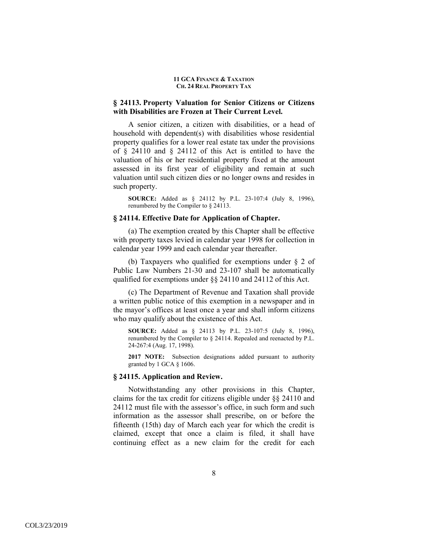# **§ 24113. Property Valuation for Senior Citizens or Citizens with Disabilities are Frozen at Their Current Level.**

A senior citizen, a citizen with disabilities, or a head of household with dependent(s) with disabilities whose residential property qualifies for a lower real estate tax under the provisions of § 24110 and § 24112 of this Act is entitled to have the valuation of his or her residential property fixed at the amount assessed in its first year of eligibility and remain at such valuation until such citizen dies or no longer owns and resides in such property.

**SOURCE:** Added as § 24112 by P.L. 23-107:4 (July 8, 1996), renumbered by the Compiler to § 24113.

# **§ 24114. Effective Date for Application of Chapter.**

(a) The exemption created by this Chapter shall be effective with property taxes levied in calendar year 1998 for collection in calendar year 1999 and each calendar year thereafter.

(b) Taxpayers who qualified for exemptions under § 2 of Public Law Numbers 21-30 and 23-107 shall be automatically qualified for exemptions under §§ 24110 and 24112 of this Act.

(c) The Department of Revenue and Taxation shall provide a written public notice of this exemption in a newspaper and in the mayor's offices at least once a year and shall inform citizens who may qualify about the existence of this Act.

**SOURCE:** Added as § 24113 by P.L. 23-107:5 (July 8, 1996), renumbered by the Compiler to § 24114. Repealed and reenacted by P.L. 24-267:4 (Aug. 17, 1998).

**2017 NOTE:** Subsection designations added pursuant to authority granted by 1 GCA § 1606.

### **§ 24115. Application and Review.**

Notwithstanding any other provisions in this Chapter, claims for the tax credit for citizens eligible under §§ 24110 and 24112 must file with the assessor's office, in such form and such information as the assessor shall prescribe, on or before the fifteenth (15th) day of March each year for which the credit is claimed, except that once a claim is filed, it shall have continuing effect as a new claim for the credit for each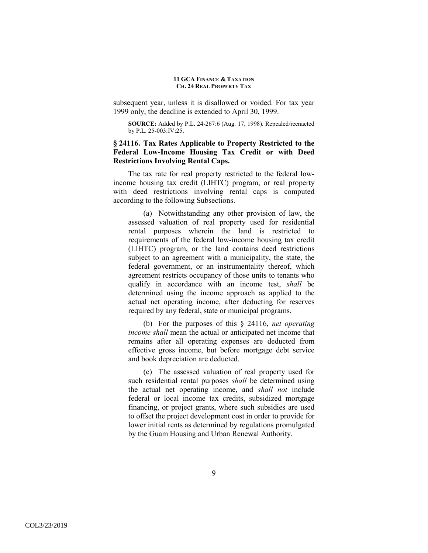subsequent year, unless it is disallowed or voided. For tax year 1999 only, the deadline is extended to April 30, 1999.

**SOURCE:** Added by P.L. 24-267:6 (Aug. 17, 1998). Repealed/reenacted by P.L. 25-003:IV:25.

# **§ 24116. Tax Rates Applicable to Property Restricted to the Federal Low-Income Housing Tax Credit or with Deed Restrictions Involving Rental Caps.**

The tax rate for real property restricted to the federal lowincome housing tax credit (LIHTC) program, or real property with deed restrictions involving rental caps is computed according to the following Subsections.

(a) Notwithstanding any other provision of law, the assessed valuation of real property used for residential rental purposes wherein the land is restricted to requirements of the federal low-income housing tax credit (LIHTC) program, or the land contains deed restrictions subject to an agreement with a municipality, the state, the federal government, or an instrumentality thereof, which agreement restricts occupancy of those units to tenants who qualify in accordance with an income test, *shall* be determined using the income approach as applied to the actual net operating income, after deducting for reserves required by any federal, state or municipal programs.

(b) For the purposes of this § 24116, *net operating income shall* mean the actual or anticipated net income that remains after all operating expenses are deducted from effective gross income, but before mortgage debt service and book depreciation are deducted.

(c) The assessed valuation of real property used for such residential rental purposes *shall* be determined using the actual net operating income, and *shall not* include federal or local income tax credits, subsidized mortgage financing, or project grants, where such subsidies are used to offset the project development cost in order to provide for lower initial rents as determined by regulations promulgated by the Guam Housing and Urban Renewal Authority.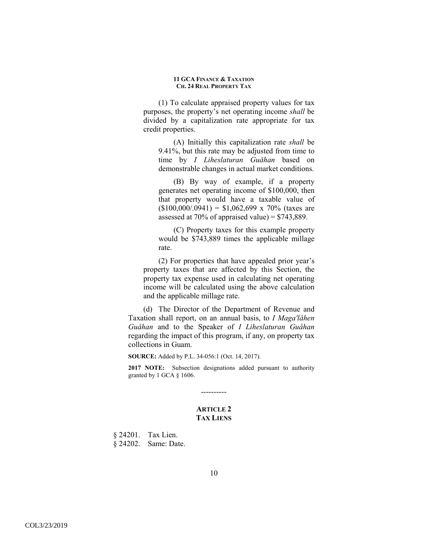(1) To calculate appraised property values for tax purposes, the property's net operating income *shall* be divided by a capitalization rate appropriate for tax credit properties.

(A) Initially this capitalization rate *shall* be 9.41%, but this rate may be adjusted from time to time by *I Liheslaturan Guåhan* based on demonstrable changes in actual market conditions.

(B) By way of example, if a property generates net operating income of \$100,000, then that property would have a taxable value of  $($100,000/.0941) = $1,062,699 \times 70\%$  (taxes are assessed at 70% of appraised value) =  $$743,889$ .

(C) Property taxes for this example property would be \$743,889 times the applicable millage rate.

(2) For properties that have appealed prior year's property taxes that are affected by this Section, the property tax expense used in calculating net operating income will be calculated using the above calculation and the applicable millage rate.

(d) The Director of the Department of Revenue and Taxation shall report, on an annual basis, to *I Maga′låhen Guåhan* and to the Speaker of *I Liheslaturan Guåhan* regarding the impact of this program, if any, on property tax collections in Guam.

**SOURCE:** Added by P.L. 34-056:1 (Oct. 14, 2017).

**2017 NOTE:** Subsection designations added pursuant to authority granted by 1 GCA § 1606.

# **ARTICLE 2 TAX LIENS**

----------

§ 24201. Tax Lien. § 24202. Same: Date.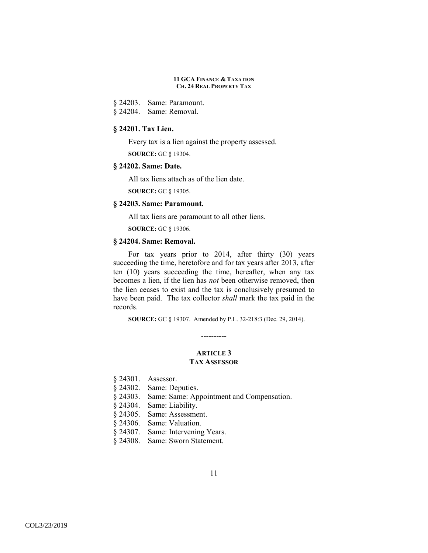§ 24203. Same: Paramount.

§ 24204. Same: Removal.

# **§ 24201. Tax Lien.**

Every tax is a lien against the property assessed. **SOURCE:** GC § 19304.

# **§ 24202. Same: Date.**

All tax liens attach as of the lien date.

**SOURCE:** GC § 19305.

# **§ 24203. Same: Paramount.**

All tax liens are paramount to all other liens.

**SOURCE:** GC § 19306.

# **§ 24204. Same: Removal.**

For tax years prior to 2014, after thirty (30) years succeeding the time, heretofore and for tax years after 2013, after ten (10) years succeeding the time, hereafter, when any tax becomes a lien, if the lien has *not* been otherwise removed, then the lien ceases to exist and the tax is conclusively presumed to have been paid. The tax collector *shall* mark the tax paid in the records.

**SOURCE:** GC § 19307. Amended by P.L. 32-218:3 (Dec. 29, 2014).

# **ARTICLE 3 TAX ASSESSOR**

----------

- § 24301. Assessor.
- § 24302. Same: Deputies.
- § 24303. Same: Same: Appointment and Compensation.
- § 24304. Same: Liability.
- § 24305. Same: Assessment.
- § 24306. Same: Valuation.
- § 24307. Same: Intervening Years.
- § 24308. Same: Sworn Statement.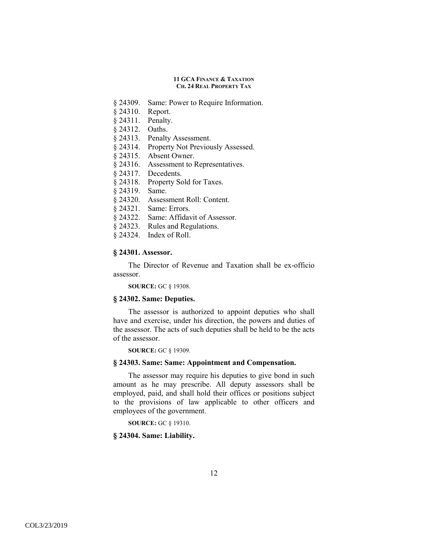- § 24309. Same: Power to Require Information.
- § 24310. Report.
- § 24311. Penalty.
- § 24312. Oaths.
- § 24313. Penalty Assessment.
- § 24314. Property Not Previously Assessed.
- § 24315. Absent Owner.
- § 24316. Assessment to Representatives.
- § 24317. Decedents.
- § 24318. Property Sold for Taxes.
- § 24319. Same.
- § 24320. Assessment Roll: Content.
- § 24321. Same: Errors.
- § 24322. Same: Affidavit of Assessor.
- § 24323. Rules and Regulations.
- § 24324. Index of Roll.

## **§ 24301. Assessor.**

The Director of Revenue and Taxation shall be ex-officio assessor.

**SOURCE:** GC § 19308.

### **§ 24302. Same: Deputies.**

The assessor is authorized to appoint deputies who shall have and exercise, under his direction, the powers and duties of the assessor. The acts of such deputies shall be held to be the acts of the assessor.

**SOURCE:** GC § 19309.

## **§ 24303. Same: Same: Appointment and Compensation.**

The assessor may require his deputies to give bond in such amount as he may prescribe. All deputy assessors shall be employed, paid, and shall hold their offices or positions subject to the provisions of law applicable to other officers and employees of the government.

**SOURCE:** GC § 19310.

# **§ 24304. Same: Liability.**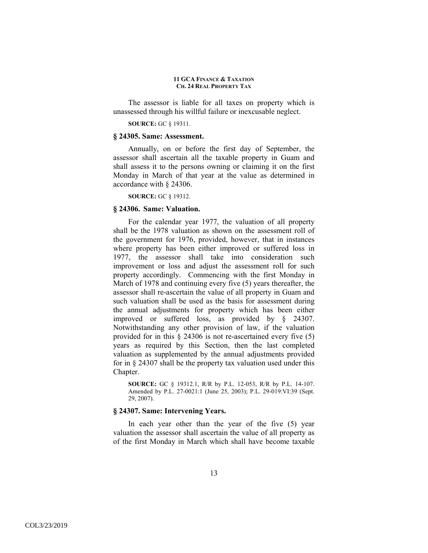The assessor is liable for all taxes on property which is unassessed through his willful failure or inexcusable neglect.

#### **SOURCE:** GC § 19311.

### **§ 24305. Same: Assessment.**

Annually, on or before the first day of September, the assessor shall ascertain all the taxable property in Guam and shall assess it to the persons owning or claiming it on the first Monday in March of that year at the value as determined in accordance with § 24306.

**SOURCE:** GC § 19312.

# **§ 24306. Same: Valuation.**

For the calendar year 1977, the valuation of all property shall be the 1978 valuation as shown on the assessment roll of the government for 1976, provided, however, that in instances where property has been either improved or suffered loss in 1977, the assessor shall take into consideration such improvement or loss and adjust the assessment roll for such property accordingly. Commencing with the first Monday in March of 1978 and continuing every five (5) years thereafter, the assessor shall re-ascertain the value of all property in Guam and such valuation shall be used as the basis for assessment during the annual adjustments for property which has been either improved or suffered loss, as provided by § 24307. Notwithstanding any other provision of law, if the valuation provided for in this § 24306 is not re-ascertained every five (5) years as required by this Section, then the last completed valuation as supplemented by the annual adjustments provided for in § 24307 shall be the property tax valuation used under this Chapter.

**SOURCE:** GC § 19312.1, R/R by P.L. 12-053, R/R by P.L. 14-107. Amended by P.L. 27-0021:1 (June 25, 2003); P.L. 29-019:VI:39 (Sept. 29, 2007).

### **§ 24307. Same: Intervening Years.**

In each year other than the year of the five (5) year valuation the assessor shall ascertain the value of all property as of the first Monday in March which shall have become taxable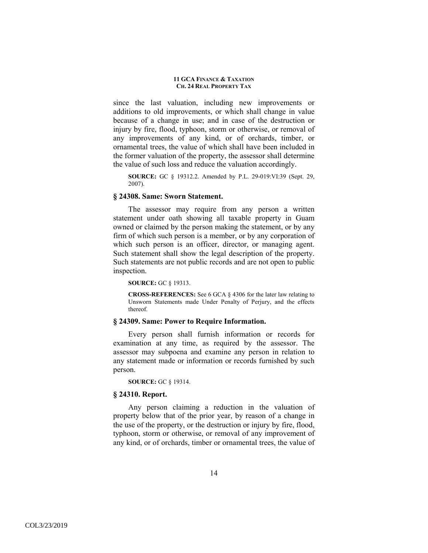since the last valuation, including new improvements or additions to old improvements, or which shall change in value because of a change in use; and in case of the destruction or injury by fire, flood, typhoon, storm or otherwise, or removal of any improvements of any kind, or of orchards, timber, or ornamental trees, the value of which shall have been included in the former valuation of the property, the assessor shall determine the value of such loss and reduce the valuation accordingly.

**SOURCE:** GC § 19312.2. Amended by P.L. 29-019:VI:39 (Sept. 29, 2007).

### **§ 24308. Same: Sworn Statement.**

The assessor may require from any person a written statement under oath showing all taxable property in Guam owned or claimed by the person making the statement, or by any firm of which such person is a member, or by any corporation of which such person is an officer, director, or managing agent. Such statement shall show the legal description of the property. Such statements are not public records and are not open to public inspection.

**SOURCE:** GC § 19313.

**CROSS-REFERENCES:** See 6 GCA § 4306 for the later law relating to Unsworn Statements made Under Penalty of Perjury, and the effects thereof.

### **§ 24309. Same: Power to Require Information.**

Every person shall furnish information or records for examination at any time, as required by the assessor. The assessor may subpoena and examine any person in relation to any statement made or information or records furnished by such person.

**SOURCE:** GC § 19314.

#### **§ 24310. Report.**

Any person claiming a reduction in the valuation of property below that of the prior year, by reason of a change in the use of the property, or the destruction or injury by fire, flood, typhoon, storm or otherwise, or removal of any improvement of any kind, or of orchards, timber or ornamental trees, the value of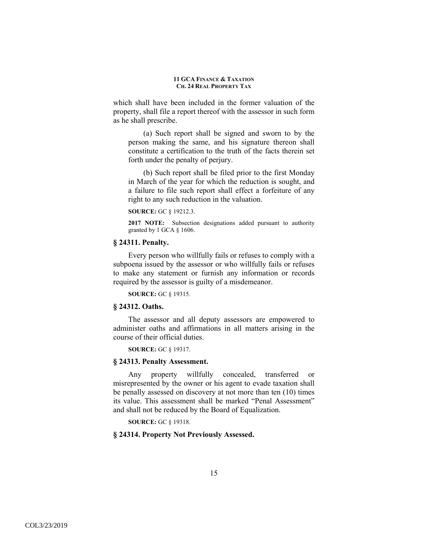which shall have been included in the former valuation of the property, shall file a report thereof with the assessor in such form as he shall prescribe.

(a) Such report shall be signed and sworn to by the person making the same, and his signature thereon shall constitute a certification to the truth of the facts therein set forth under the penalty of perjury.

(b) Such report shall be filed prior to the first Monday in March of the year for which the reduction is sought, and a failure to file such report shall effect a forfeiture of any right to any such reduction in the valuation.

#### **SOURCE:** GC § 19212.3.

**2017 NOTE:** Subsection designations added pursuant to authority granted by 1 GCA § 1606.

# **§ 24311. Penalty.**

Every person who willfully fails or refuses to comply with a subpoena issued by the assessor or who willfully fails or refuses to make any statement or furnish any information or records required by the assessor is guilty of a misdemeanor.

**SOURCE:** GC § 19315.

# **§ 24312. Oaths.**

The assessor and all deputy assessors are empowered to administer oaths and affirmations in all matters arising in the course of their official duties.

**SOURCE:** GC § 19317.

# **§ 24313. Penalty Assessment.**

Any property willfully concealed, transferred or misrepresented by the owner or his agent to evade taxation shall be penally assessed on discovery at not more than ten (10) times its value. This assessment shall be marked "Penal Assessment" and shall not be reduced by the Board of Equalization.

**SOURCE:** GC § 19318.

# **§ 24314. Property Not Previously Assessed.**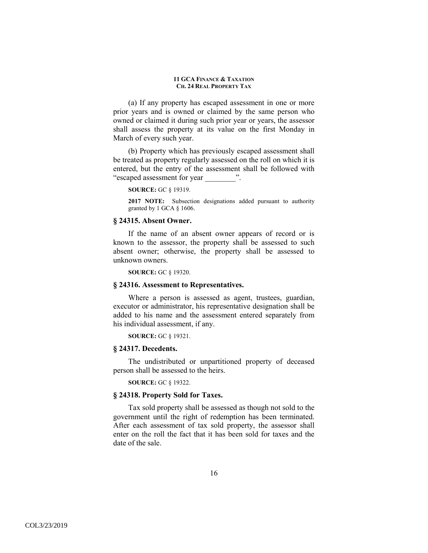(a) If any property has escaped assessment in one or more prior years and is owned or claimed by the same person who owned or claimed it during such prior year or years, the assessor shall assess the property at its value on the first Monday in March of every such year.

(b) Property which has previously escaped assessment shall be treated as property regularly assessed on the roll on which it is entered, but the entry of the assessment shall be followed with "escaped assessment for year \_\_\_\_\_\_\_\_\_".

**SOURCE:** GC § 19319.

**2017 NOTE:** Subsection designations added pursuant to authority granted by 1 GCA § 1606.

### **§ 24315. Absent Owner.**

If the name of an absent owner appears of record or is known to the assessor, the property shall be assessed to such absent owner; otherwise, the property shall be assessed to unknown owners.

**SOURCE:** GC § 19320.

### **§ 24316. Assessment to Representatives.**

Where a person is assessed as agent, trustees, guardian, executor or administrator, his representative designation shall be added to his name and the assessment entered separately from his individual assessment, if any.

**SOURCE:** GC § 19321.

### **§ 24317. Decedents.**

The undistributed or unpartitioned property of deceased person shall be assessed to the heirs.

**SOURCE:** GC § 19322.

# **§ 24318. Property Sold for Taxes.**

Tax sold property shall be assessed as though not sold to the government until the right of redemption has been terminated. After each assessment of tax sold property, the assessor shall enter on the roll the fact that it has been sold for taxes and the date of the sale.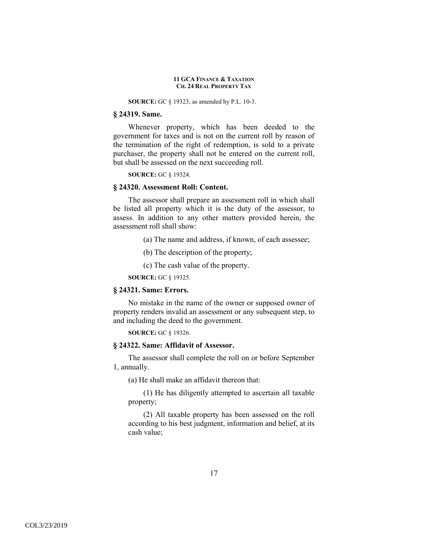**SOURCE:** GC § 19323, as amended by P.L. 10-3.

# **§ 24319. Same.**

Whenever property, which has been deeded to the government for taxes and is not on the current roll by reason of the termination of the right of redemption, is sold to a private purchaser, the property shall not be entered on the current roll, but shall be assessed on the next succeeding roll.

**SOURCE:** GC § 19324.

#### **§ 24320. Assessment Roll: Content.**

The assessor shall prepare an assessment roll in which shall be listed all property which it is the duty of the assessor, to assess. In addition to any other matters provided herein, the assessment roll shall show:

(a) The name and address, if known, of each assessee;

(b) The description of the property;

(c) The cash value of the property.

**SOURCE:** GC § 19325.

# **§ 24321. Same: Errors.**

No mistake in the name of the owner or supposed owner of property renders invalid an assessment or any subsequent step, to and including the deed to the government.

**SOURCE:** GC § 19326.

## **§ 24322. Same: Affidavit of Assessor.**

The assessor shall complete the roll on or before September 1, annually.

(a) He shall make an affidavit thereon that:

(1) He has diligently attempted to ascertain all taxable property;

(2) All taxable property has been assessed on the roll according to his best judgment, information and belief, at its cash value;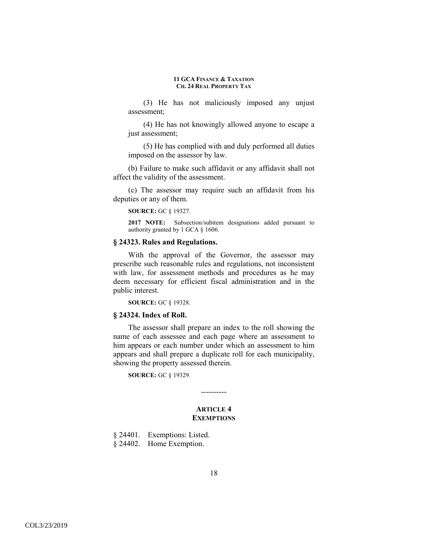(3) He has not maliciously imposed any unjust assessment;

(4) He has not knowingly allowed anyone to escape a just assessment;

(5) He has complied with and duly performed all duties imposed on the assessor by law.

(b) Failure to make such affidavit or any affidavit shall not affect the validity of the assessment.

(c) The assessor may require such an affidavit from his deputies or any of them.

**SOURCE:** GC § 19327.

**2017 NOTE:** Subsection/subitem designations added pursuant to authority granted by 1 GCA § 1606.

# **§ 24323. Rules and Regulations.**

With the approval of the Governor, the assessor may prescribe such reasonable rules and regulations, not inconsistent with law, for assessment methods and procedures as he may deem necessary for efficient fiscal administration and in the public interest.

**SOURCE:** GC § 19328.

### **§ 24324. Index of Roll.**

The assessor shall prepare an index to the roll showing the name of each assessee and each page where an assessment to him appears or each number under which an assessment to him appears and shall prepare a duplicate roll for each municipality, showing the property assessed therein.

**SOURCE:** GC § 19329.

# **ARTICLE 4 EXEMPTIONS**

----------

§ 24401. Exemptions: Listed. § 24402. Home Exemption.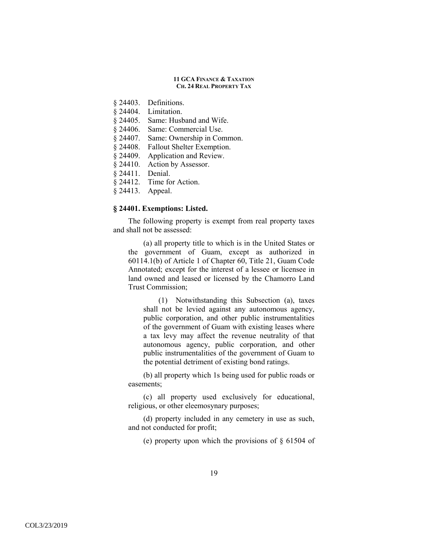- § 24403. Definitions.
- § 24404. Limitation.
- § 24405. Same: Husband and Wife.
- § 24406. Same: Commercial Use.
- § 24407. Same: Ownership in Common.
- § 24408. Fallout Shelter Exemption.
- § 24409. Application and Review.
- § 24410. Action by Assessor.
- § 24411. Denial.
- § 24412. Time for Action.
- § 24413. Appeal.

# **§ 24401. Exemptions: Listed.**

The following property is exempt from real property taxes and shall not be assessed:

(a) all property title to which is in the United States or the government of Guam, except as authorized in 60114.1(b) of Article 1 of Chapter 60, Title 21, Guam Code Annotated; except for the interest of a lessee or licensee in land owned and leased or licensed by the Chamorro Land Trust Commission;

(1) Notwithstanding this Subsection (a), taxes shall not be levied against any autonomous agency, public corporation, and other public instrumentalities of the government of Guam with existing leases where a tax levy may affect the revenue neutrality of that autonomous agency, public corporation, and other public instrumentalities of the government of Guam to the potential detriment of existing bond ratings.

(b) all property which 1s being used for public roads or easements;

(c) all property used exclusively for educational, religious, or other eleemosynary purposes;

(d) property included in any cemetery in use as such, and not conducted for profit;

(e) property upon which the provisions of § 61504 of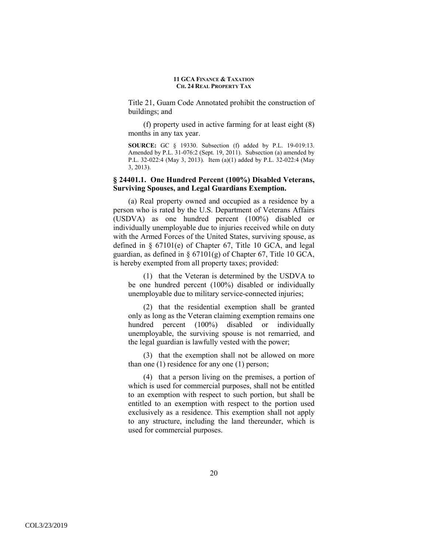Title 21, Guam Code Annotated prohibit the construction of buildings; and

(f) property used in active farming for at least eight (8) months in any tax year.

**SOURCE:** GC § 19330. Subsection (f) added by P.L. 19-019:13. Amended by P.L. 31-076:2 (Sept. 19, 2011). Subsection (a) amended by P.L. 32-022:4 (May 3, 2013). Item (a)(1) added by P.L. 32-022:4 (May 3, 2013).

# **§ 24401.1. One Hundred Percent (100%) Disabled Veterans, Surviving Spouses, and Legal Guardians Exemption.**

(a) Real property owned and occupied as a residence by a person who is rated by the U.S. Department of Veterans Affairs (USDVA) as one hundred percent (100%) disabled or individually unemployable due to injuries received while on duty with the Armed Forces of the United States, surviving spouse, as defined in § 67101(e) of Chapter 67, Title 10 GCA, and legal guardian, as defined in  $\S$  67101(g) of Chapter 67, Title 10 GCA, is hereby exempted from all property taxes; provided:

(1) that the Veteran is determined by the USDVA to be one hundred percent (100%) disabled or individually unemployable due to military service-connected injuries;

(2) that the residential exemption shall be granted only as long as the Veteran claiming exemption remains one hundred percent (100%) disabled or individually unemployable, the surviving spouse is not remarried, and the legal guardian is lawfully vested with the power;

(3) that the exemption shall not be allowed on more than one (1) residence for any one (1) person;

(4) that a person living on the premises, a portion of which is used for commercial purposes, shall not be entitled to an exemption with respect to such portion, but shall be entitled to an exemption with respect to the portion used exclusively as a residence. This exemption shall not apply to any structure, including the land thereunder, which is used for commercial purposes.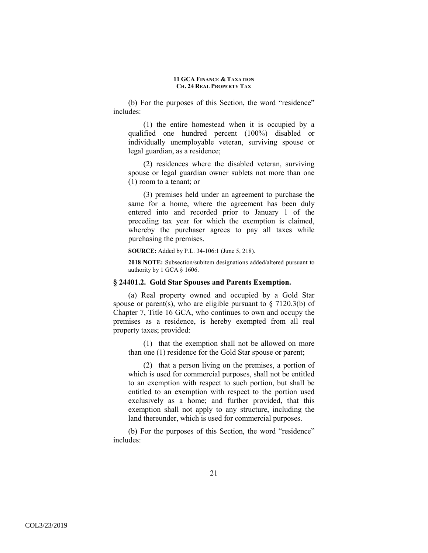(b) For the purposes of this Section, the word "residence" includes:

(1) the entire homestead when it is occupied by a qualified one hundred percent (100%) disabled or individually unemployable veteran, surviving spouse or legal guardian, as a residence;

(2) residences where the disabled veteran, surviving spouse or legal guardian owner sublets not more than one (1) room to a tenant; or

(3) premises held under an agreement to purchase the same for a home, where the agreement has been duly entered into and recorded prior to January 1 of the preceding tax year for which the exemption is claimed, whereby the purchaser agrees to pay all taxes while purchasing the premises.

**SOURCE:** Added by P.L. 34-106:1 (June 5, 218).

**2018 NOTE:** Subsection/subitem designations added/altered pursuant to authority by 1 GCA § 1606.

### **§ 24401.2. Gold Star Spouses and Parents Exemption.**

(a) Real property owned and occupied by a Gold Star spouse or parent(s), who are eligible pursuant to  $\S$  7120.3(b) of Chapter 7, Title 16 GCA, who continues to own and occupy the premises as a residence, is hereby exempted from all real property taxes; provided:

(1) that the exemption shall not be allowed on more than one (1) residence for the Gold Star spouse or parent;

(2) that a person living on the premises, a portion of which is used for commercial purposes, shall not be entitled to an exemption with respect to such portion, but shall be entitled to an exemption with respect to the portion used exclusively as a home; and further provided, that this exemption shall not apply to any structure, including the land thereunder, which is used for commercial purposes.

(b) For the purposes of this Section, the word "residence" includes: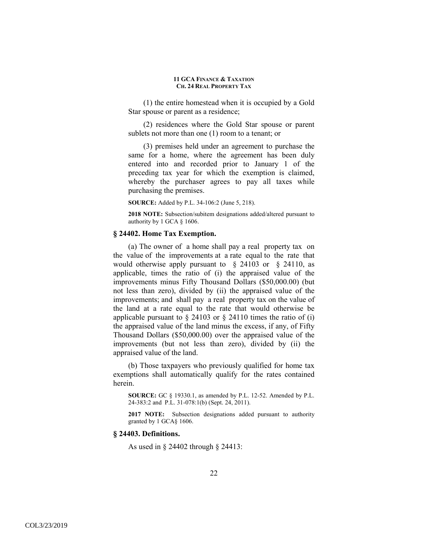(1) the entire homestead when it is occupied by a Gold Star spouse or parent as a residence;

(2) residences where the Gold Star spouse or parent sublets not more than one (1) room to a tenant; or

(3) premises held under an agreement to purchase the same for a home, where the agreement has been duly entered into and recorded prior to January 1 of the preceding tax year for which the exemption is claimed, whereby the purchaser agrees to pay all taxes while purchasing the premises.

**SOURCE:** Added by P.L. 34-106:2 (June 5, 218).

**2018 NOTE:** Subsection/subitem designations added/altered pursuant to authority by 1 GCA § 1606.

# **§ 24402. Home Tax Exemption.**

(a) The owner of a home shall pay a real property tax on the value of the improvements at a rate equal to the rate that would otherwise apply pursuant to § 24103 or § 24110, as applicable, times the ratio of (i) the appraised value of the improvements minus Fifty Thousand Dollars (\$50,000.00) (but not less than zero), divided by (ii) the appraised value of the improvements; and shall pay a real property tax on the value of the land at a rate equal to the rate that would otherwise be applicable pursuant to  $\S$  24103 or  $\S$  24110 times the ratio of (i) the appraised value of the land minus the excess, if any, of Fifty Thousand Dollars (\$50,000.00) over the appraised value of the improvements (but not less than zero), divided by (ii) the appraised value of the land.

(b) Those taxpayers who previously qualified for home tax exemptions shall automatically qualify for the rates contained herein.

**SOURCE:** GC § 19330.1, as amended by P.L. 12-52. Amended by P.L. 24-383:2 and P.L. 31-078:1(b) (Sept. 24, 2011).

**2017 NOTE:** Subsection designations added pursuant to authority granted by 1 GCA§ 1606.

# **§ 24403. Definitions.**

As used in § 24402 through § 24413: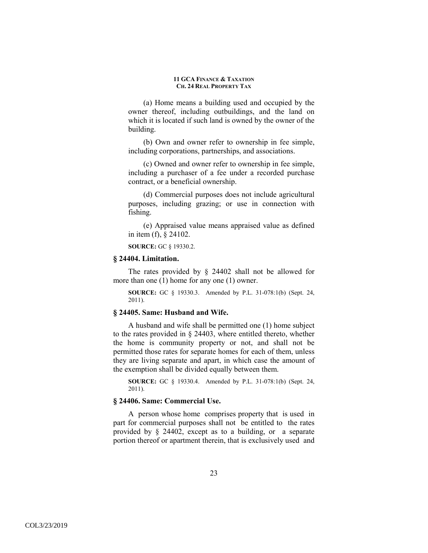(a) Home means a building used and occupied by the owner thereof, including outbuildings, and the land on which it is located if such land is owned by the owner of the building.

(b) Own and owner refer to ownership in fee simple, including corporations, partnerships, and associations.

(c) Owned and owner refer to ownership in fee simple, including a purchaser of a fee under a recorded purchase contract, or a beneficial ownership.

(d) Commercial purposes does not include agricultural purposes, including grazing; or use in connection with fishing.

(e) Appraised value means appraised value as defined in item (f), § 24102.

**SOURCE:** GC § 19330.2.

# **§ 24404. Limitation.**

The rates provided by § 24402 shall not be allowed for more than one (1) home for any one (1) owner.

**SOURCE:** GC § 19330.3. Amended by P.L. 31-078:1(b) (Sept. 24, 2011).

### **§ 24405. Same: Husband and Wife.**

A husband and wife shall be permitted one (1) home subject to the rates provided in § 24403, where entitled thereto, whether the home is community property or not, and shall not be permitted those rates for separate homes for each of them, unless they are living separate and apart, in which case the amount of the exemption shall be divided equally between them.

**SOURCE:** GC § 19330.4. Amended by P.L. 31-078:1(b) (Sept. 24, 2011).

#### **§ 24406. Same: Commercial Use.**

A person whose home comprises property that is used in part for commercial purposes shall not be entitled to the rates provided by § 24402, except as to a building, or a separate portion thereof or apartment therein, that is exclusively used and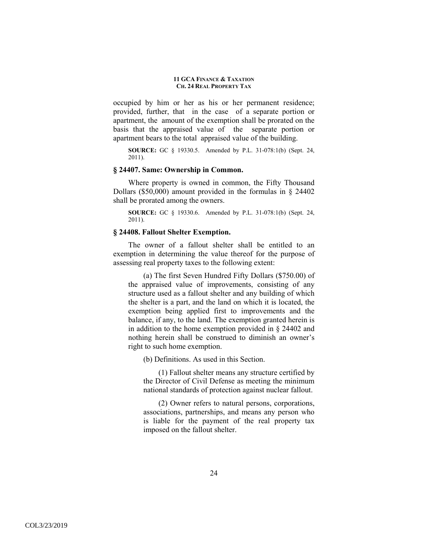occupied by him or her as his or her permanent residence; provided, further, that in the case of a separate portion or apartment, the amount of the exemption shall be prorated on the basis that the appraised value of the separate portion or apartment bears to the total appraised value of the building.

**SOURCE:** GC § 19330.5. Amended by P.L. 31-078:1(b) (Sept. 24, 2011).

### **§ 24407. Same: Ownership in Common.**

Where property is owned in common, the Fifty Thousand Dollars (\$50,000) amount provided in the formulas in § 24402 shall be prorated among the owners.

**SOURCE:** GC § 19330.6. Amended by P.L. 31-078:1(b) (Sept. 24, 2011).

# **§ 24408. Fallout Shelter Exemption.**

The owner of a fallout shelter shall be entitled to an exemption in determining the value thereof for the purpose of assessing real property taxes to the following extent:

(a) The first Seven Hundred Fifty Dollars (\$750.00) of the appraised value of improvements, consisting of any structure used as a fallout shelter and any building of which the shelter is a part, and the land on which it is located, the exemption being applied first to improvements and the balance, if any, to the land. The exemption granted herein is in addition to the home exemption provided in § 24402 and nothing herein shall be construed to diminish an owner's right to such home exemption.

(b) Definitions. As used in this Section.

(1) Fallout shelter means any structure certified by the Director of Civil Defense as meeting the minimum national standards of protection against nuclear fallout.

(2) Owner refers to natural persons, corporations, associations, partnerships, and means any person who is liable for the payment of the real property tax imposed on the fallout shelter.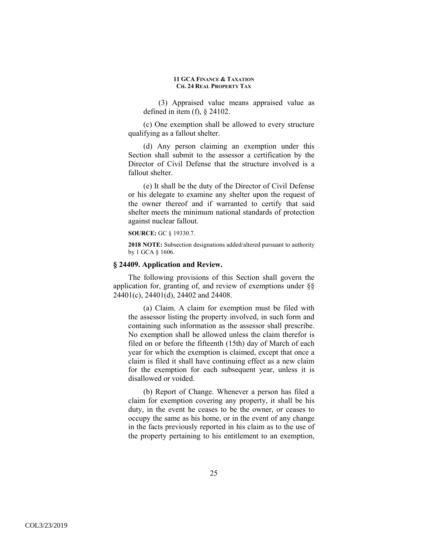(3) Appraised value means appraised value as defined in item (f), § 24102.

(c) One exemption shall be allowed to every structure qualifying as a fallout shelter.

(d) Any person claiming an exemption under this Section shall submit to the assessor a certification by the Director of Civil Defense that the structure involved is a fallout shelter.

(e) It shall be the duty of the Director of Civil Defense or his delegate to examine any shelter upon the request of the owner thereof and if warranted to certify that said shelter meets the minimum national standards of protection against nuclear fallout.

#### **SOURCE:** GC § 19330.7.

**2018 NOTE:** Subsection designations added/altered pursuant to authority by 1 GCA § 1606.

### **§ 24409. Application and Review.**

The following provisions of this Section shall govern the application for, granting of, and review of exemptions under §§ 24401(c), 24401(d), 24402 and 24408.

(a) Claim. A claim for exemption must be filed with the assessor listing the property involved, in such form and containing such information as the assessor shall prescribe. No exemption shall be allowed unless the claim therefor is filed on or before the fifteenth (15th) day of March of each year for which the exemption is claimed, except that once a claim is filed it shall have continuing effect as a new claim for the exemption for each subsequent year, unless it is disallowed or voided.

(b) Report of Change. Whenever a person has filed a claim for exemption covering any property, it shall be his duty, in the event he ceases to be the owner, or ceases to occupy the same as his home, or in the event of any change in the facts previously reported in his claim as to the use of the property pertaining to his entitlement to an exemption,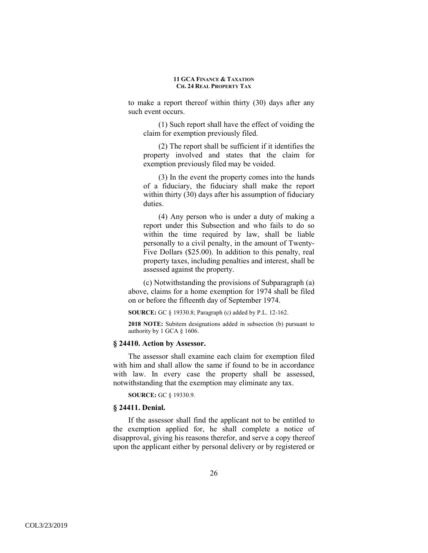to make a report thereof within thirty (30) days after any such event occurs.

(1) Such report shall have the effect of voiding the claim for exemption previously filed.

(2) The report shall be sufficient if it identifies the property involved and states that the claim for exemption previously filed may be voided.

(3) In the event the property comes into the hands of a fiduciary, the fiduciary shall make the report within thirty (30) days after his assumption of fiduciary duties.

(4) Any person who is under a duty of making a report under this Subsection and who fails to do so within the time required by law, shall be liable personally to a civil penalty, in the amount of Twenty-Five Dollars (\$25.00). In addition to this penalty, real property taxes, including penalties and interest, shall be assessed against the property.

(c) Notwithstanding the provisions of Subparagraph (a) above, claims for a home exemption for 1974 shall be filed on or before the fifteenth day of September 1974.

**SOURCE:** GC § 19330.8; Paragraph (c) added by P.L. 12-162.

**2018 NOTE:** Subitem designations added in subsection (b) pursuant to authority by 1 GCA § 1606.

## **§ 24410. Action by Assessor.**

The assessor shall examine each claim for exemption filed with him and shall allow the same if found to be in accordance with law. In every case the property shall be assessed, notwithstanding that the exemption may eliminate any tax.

**SOURCE:** GC § 19330.9.

### **§ 24411. Denial.**

If the assessor shall find the applicant not to be entitled to the exemption applied for, he shall complete a notice of disapproval, giving his reasons therefor, and serve a copy thereof upon the applicant either by personal delivery or by registered or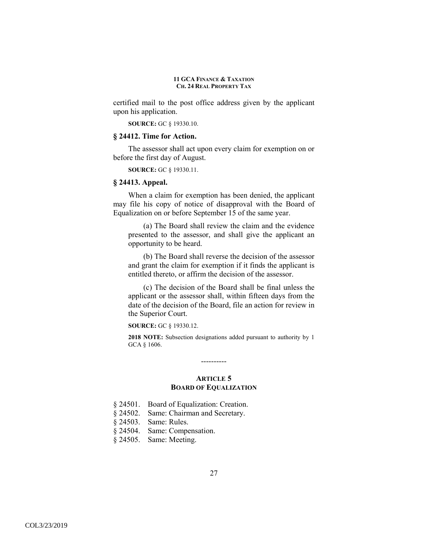certified mail to the post office address given by the applicant upon his application.

**SOURCE:** GC § 19330.10.

### **§ 24412. Time for Action.**

The assessor shall act upon every claim for exemption on or before the first day of August.

**SOURCE:** GC § 19330.11.

### **§ 24413. Appeal.**

When a claim for exemption has been denied, the applicant may file his copy of notice of disapproval with the Board of Equalization on or before September 15 of the same year.

(a) The Board shall review the claim and the evidence presented to the assessor, and shall give the applicant an opportunity to be heard.

(b) The Board shall reverse the decision of the assessor and grant the claim for exemption if it finds the applicant is entitled thereto, or affirm the decision of the assessor.

(c) The decision of the Board shall be final unless the applicant or the assessor shall, within fifteen days from the date of the decision of the Board, file an action for review in the Superior Court.

**SOURCE:** GC § 19330.12.

**2018 NOTE:** Subsection designations added pursuant to authority by 1 GCA § 1606.

### **ARTICLE 5 BOARD OF EQUALIZATION**

----------

|  | $§$ 24501. | Board of Equalization: Creation. |  |  |
|--|------------|----------------------------------|--|--|
|--|------------|----------------------------------|--|--|

- § 24502. Same: Chairman and Secretary.
- § 24503. Same: Rules.
- § 24504. Same: Compensation.
- § 24505. Same: Meeting.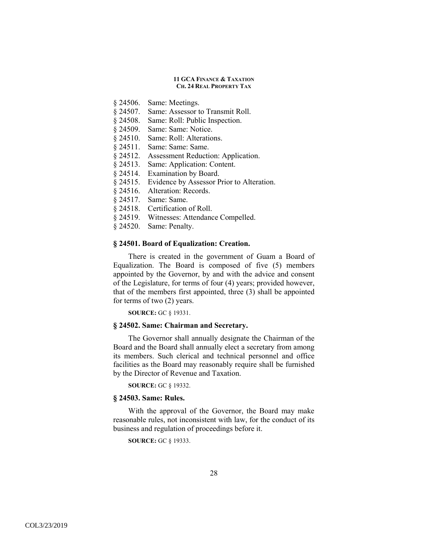- § 24506. Same: Meetings.
- § 24507. Same: Assessor to Transmit Roll.
- § 24508. Same: Roll: Public Inspection.
- § 24509. Same: Same: Notice.
- § 24510. Same: Roll: Alterations.
- § 24511. Same: Same: Same.
- § 24512. Assessment Reduction: Application.
- § 24513. Same: Application: Content.
- § 24514. Examination by Board.
- § 24515. Evidence by Assessor Prior to Alteration.
- § 24516. Alteration: Records.
- § 24517. Same: Same.
- § 24518. Certification of Roll.
- § 24519. Witnesses: Attendance Compelled.
- § 24520. Same: Penalty.

# **§ 24501. Board of Equalization: Creation.**

There is created in the government of Guam a Board of Equalization. The Board is composed of five (5) members appointed by the Governor, by and with the advice and consent of the Legislature, for terms of four (4) years; provided however, that of the members first appointed, three (3) shall be appointed for terms of two (2) years.

**SOURCE:** GC § 19331.

# **§ 24502. Same: Chairman and Secretary.**

The Governor shall annually designate the Chairman of the Board and the Board shall annually elect a secretary from among its members. Such clerical and technical personnel and office facilities as the Board may reasonably require shall be furnished by the Director of Revenue and Taxation.

**SOURCE:** GC § 19332.

### **§ 24503. Same: Rules.**

With the approval of the Governor, the Board may make reasonable rules, not inconsistent with law, for the conduct of its business and regulation of proceedings before it.

**SOURCE:** GC § 19333.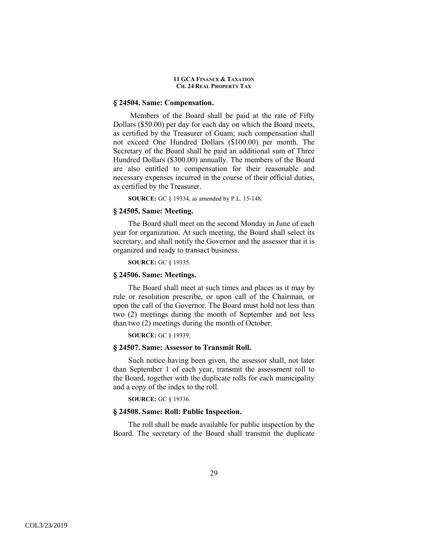### **§ 24504. Same: Compensation.**

 Members of the Board shall be paid at the rate of Fifty Dollars (\$50.00) per day for each day on which the Board meets, as certified by the Treasurer of Guam; such compensation shall not exceed One Hundred Dollars (\$100.00) per month. The Secretary of the Board shall be paid an additional sum of Three Hundred Dollars (\$300.00) annually. The members of the Board are also entitled to compensation for their reasonable and necessary expenses incurred in the course of their official duties, as certified by the Treasurer.

**SOURCE:** GC § 19334, as amended by P.L. 15-148.

### **§ 24505. Same: Meeting.**

The Board shall meet on the second Monday in June of each year for organization. At such meeting, the Board shall select its secretary, and shall notify the Governor and the assessor that it is organized and ready to transact business.

**SOURCE:** GC § 19335.

#### **§ 24506. Same: Meetings.**

The Board shall meet at such times and places as it may by rule or resolution prescribe, or upon call of the Chairman, or upon the call of the Governor. The Board must hold not less than two (2) meetings during the month of September and not less than two (2) meetings during the month of October.

**SOURCE:** GC § 19339.

# **§ 24507. Same: Assessor to Transmit Roll.**

Such notice having been given, the assessor shall, not later than September 1 of each year, transmit the assessment roll to the Board, together with the duplicate rolls for each municipality and a copy of the index to the roll.

**SOURCE:** GC § 19336.

# **§ 24508. Same: Roll: Public Inspection.**

The roll shall be made available for public inspection by the Board. The secretary of the Board shall transmit the duplicate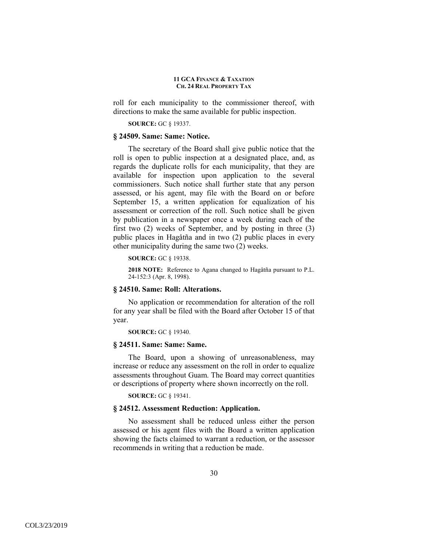roll for each municipality to the commissioner thereof, with directions to make the same available for public inspection.

**SOURCE:** GC § 19337.

#### **§ 24509. Same: Same: Notice.**

The secretary of the Board shall give public notice that the roll is open to public inspection at a designated place, and, as regards the duplicate rolls for each municipality, that they are available for inspection upon application to the several commissioners. Such notice shall further state that any person assessed, or his agent, may file with the Board on or before September 15, a written application for equalization of his assessment or correction of the roll. Such notice shall be given by publication in a newspaper once a week during each of the first two (2) weeks of September, and by posting in three (3) public places in Hagåtña and in two (2) public places in every other municipality during the same two (2) weeks.

**SOURCE:** GC § 19338.

**2018 NOTE:** Reference to Agana changed to Hagåtña pursuant to P.L. 24-152:3 (Apr. 8, 1998).

### **§ 24510. Same: Roll: Alterations.**

No application or recommendation for alteration of the roll for any year shall be filed with the Board after October 15 of that year.

**SOURCE:** GC § 19340.

## **§ 24511. Same: Same: Same.**

The Board, upon a showing of unreasonableness, may increase or reduce any assessment on the roll in order to equalize assessments throughout Guam. The Board may correct quantities or descriptions of property where shown incorrectly on the roll.

**SOURCE:** GC § 19341.

### **§ 24512. Assessment Reduction: Application.**

No assessment shall be reduced unless either the person assessed or his agent files with the Board a written application showing the facts claimed to warrant a reduction, or the assessor recommends in writing that a reduction be made.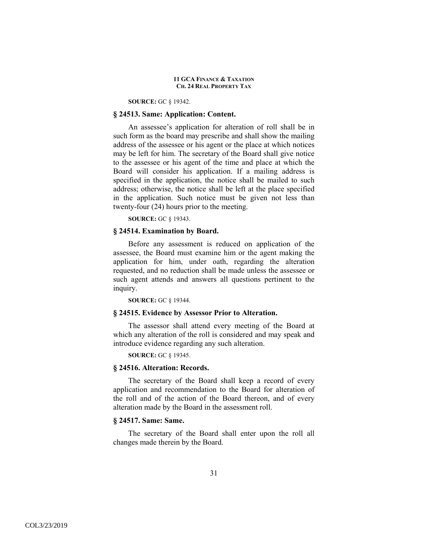#### **SOURCE:** GC § 19342.

# **§ 24513. Same: Application: Content.**

An assessee's application for alteration of roll shall be in such form as the board may prescribe and shall show the mailing address of the assessee or his agent or the place at which notices may be left for him. The secretary of the Board shall give notice to the assessee or his agent of the time and place at which the Board will consider his application. If a mailing address is specified in the application, the notice shall be mailed to such address; otherwise, the notice shall be left at the place specified in the application. Such notice must be given not less than twenty-four (24) hours prior to the meeting.

# **SOURCE:** GC § 19343.

# **§ 24514. Examination by Board.**

Before any assessment is reduced on application of the assessee, the Board must examine him or the agent making the application for him, under oath, regarding the alteration requested, and no reduction shall be made unless the assessee or such agent attends and answers all questions pertinent to the inquiry.

**SOURCE:** GC § 19344.

#### **§ 24515. Evidence by Assessor Prior to Alteration.**

The assessor shall attend every meeting of the Board at which any alteration of the roll is considered and may speak and introduce evidence regarding any such alteration.

**SOURCE:** GC § 19345.

### **§ 24516. Alteration: Records.**

The secretary of the Board shall keep a record of every application and recommendation to the Board for alteration of the roll and of the action of the Board thereon, and of every alteration made by the Board in the assessment roll.

# **§ 24517. Same: Same.**

The secretary of the Board shall enter upon the roll all changes made therein by the Board.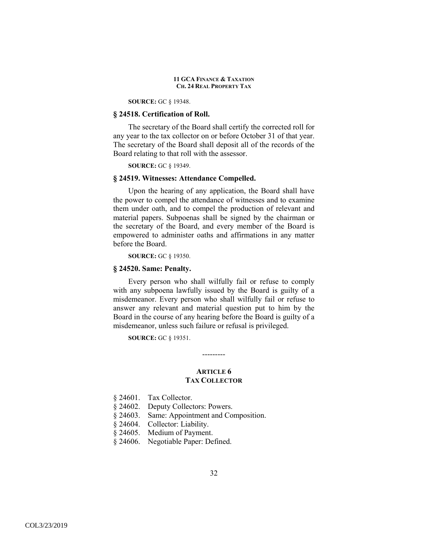**SOURCE:** GC § 19348.

# **§ 24518. Certification of Roll.**

The secretary of the Board shall certify the corrected roll for any year to the tax collector on or before October 31 of that year. The secretary of the Board shall deposit all of the records of the Board relating to that roll with the assessor.

**SOURCE:** GC § 19349.

#### **§ 24519. Witnesses: Attendance Compelled.**

Upon the hearing of any application, the Board shall have the power to compel the attendance of witnesses and to examine them under oath, and to compel the production of relevant and material papers. Subpoenas shall be signed by the chairman or the secretary of the Board, and every member of the Board is empowered to administer oaths and affirmations in any matter before the Board.

**SOURCE:** GC § 19350.

#### **§ 24520. Same: Penalty.**

Every person who shall wilfully fail or refuse to comply with any subpoena lawfully issued by the Board is guilty of a misdemeanor. Every person who shall wilfully fail or refuse to answer any relevant and material question put to him by the Board in the course of any hearing before the Board is guilty of a misdemeanor, unless such failure or refusal is privileged.

**SOURCE:** GC § 19351.

### **ARTICLE 6 TAX COLLECTOR**

---------

- § 24601. Tax Collector.
- § 24602. Deputy Collectors: Powers.
- § 24603. Same: Appointment and Composition.
- § 24604. Collector: Liability.
- § 24605. Medium of Payment.
- § 24606. Negotiable Paper: Defined.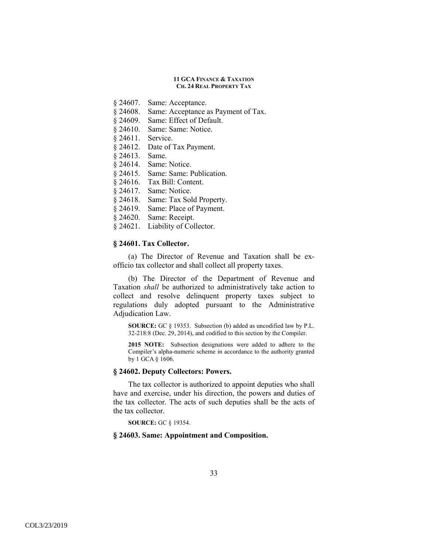- § 24607. Same: Acceptance.
- § 24608. Same: Acceptance as Payment of Tax.
- § 24609. Same: Effect of Default.
- § 24610. Same: Same: Notice.
- § 24611. Service.
- § 24612. Date of Tax Payment.
- § 24613. Same.
- § 24614. Same: Notice.
- § 24615. Same: Same: Publication.
- § 24616. Tax Bill: Content.
- § 24617. Same: Notice.
- § 24618. Same: Tax Sold Property.
- § 24619. Same: Place of Payment.
- § 24620. Same: Receipt.
- § 24621. Liability of Collector.

## **§ 24601. Tax Collector.**

(a) The Director of Revenue and Taxation shall be exofficio tax collector and shall collect all property taxes.

(b) The Director of the Department of Revenue and Taxation *shall* be authorized to administratively take action to collect and resolve delinquent property taxes subject to regulations duly adopted pursuant to the Administrative Adjudication Law.

**SOURCE:** GC § 19353. Subsection (b) added as uncodified law by P.L. 32-218:8 (Dec. 29, 2014), and codified to this section by the Compiler.

**2015 NOTE:** Subsection designations were added to adhere to the Compiler's alpha-numeric scheme in accordance to the authority granted by 1 GCA § 1606.

#### **§ 24602. Deputy Collectors: Powers.**

The tax collector is authorized to appoint deputies who shall have and exercise, under his direction, the powers and duties of the tax collector. The acts of such deputies shall be the acts of the tax collector.

**SOURCE:** GC § 19354.

# **§ 24603. Same: Appointment and Composition.**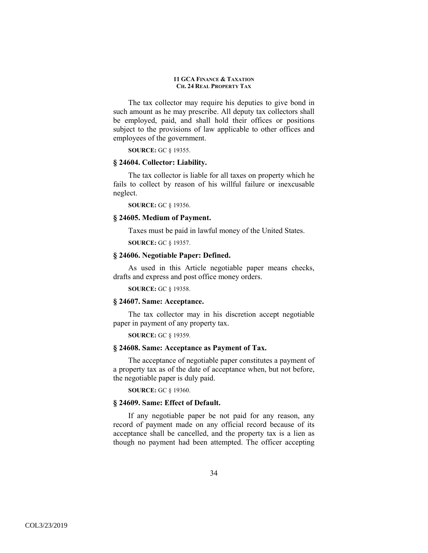The tax collector may require his deputies to give bond in such amount as he may prescribe. All deputy tax collectors shall be employed, paid, and shall hold their offices or positions subject to the provisions of law applicable to other offices and employees of the government.

**SOURCE:** GC § 19355.

## **§ 24604. Collector: Liability.**

The tax collector is liable for all taxes on property which he fails to collect by reason of his willful failure or inexcusable neglect.

**SOURCE:** GC § 19356.

# **§ 24605. Medium of Payment.**

Taxes must be paid in lawful money of the United States.

**SOURCE:** GC § 19357.

# **§ 24606. Negotiable Paper: Defined.**

As used in this Article negotiable paper means checks, drafts and express and post office money orders.

**SOURCE:** GC § 19358.

# **§ 24607. Same: Acceptance.**

The tax collector may in his discretion accept negotiable paper in payment of any property tax.

**SOURCE:** GC § 19359.

#### **§ 24608. Same: Acceptance as Payment of Tax.**

The acceptance of negotiable paper constitutes a payment of a property tax as of the date of acceptance when, but not before, the negotiable paper is duly paid.

**SOURCE:** GC § 19360.

### **§ 24609. Same: Effect of Default.**

If any negotiable paper be not paid for any reason, any record of payment made on any official record because of its acceptance shall be cancelled, and the property tax is a lien as though no payment had been attempted. The officer accepting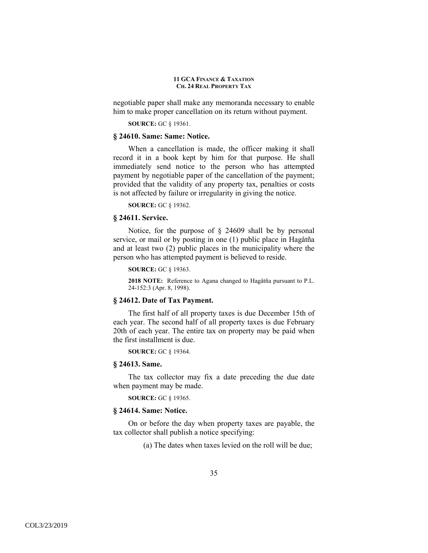negotiable paper shall make any memoranda necessary to enable him to make proper cancellation on its return without payment.

**SOURCE:** GC § 19361.

### **§ 24610. Same: Same: Notice.**

When a cancellation is made, the officer making it shall record it in a book kept by him for that purpose. He shall immediately send notice to the person who has attempted payment by negotiable paper of the cancellation of the payment; provided that the validity of any property tax, penalties or costs is not affected by failure or irregularity in giving the notice.

**SOURCE:** GC § 19362.

# **§ 24611. Service.**

Notice, for the purpose of § 24609 shall be by personal service, or mail or by posting in one (1) public place in Hagåtña and at least two (2) public places in the municipality where the person who has attempted payment is believed to reside.

**SOURCE:** GC § 19363.

**2018 NOTE:** Reference to Agana changed to Hagåtña pursuant to P.L. 24-152:3 (Apr. 8, 1998).

# **§ 24612. Date of Tax Payment.**

The first half of all property taxes is due December 15th of each year. The second half of all property taxes is due February 20th of each year. The entire tax on property may be paid when the first installment is due.

**SOURCE:** GC § 19364.

# **§ 24613. Same.**

The tax collector may fix a date preceding the due date when payment may be made.

**SOURCE:** GC § 19365.

### **§ 24614. Same: Notice.**

On or before the day when property taxes are payable, the tax collector shall publish a notice specifying:

(a) The dates when taxes levied on the roll will be due;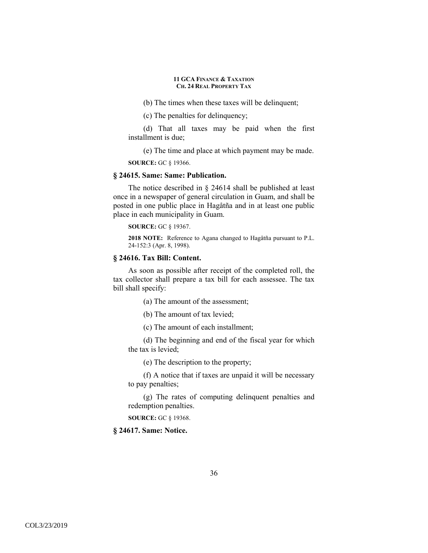(b) The times when these taxes will be delinquent;

(c) The penalties for delinquency;

(d) That all taxes may be paid when the first installment is due;

(e) The time and place at which payment may be made.

**SOURCE:** GC § 19366.

#### **§ 24615. Same: Same: Publication.**

The notice described in § 24614 shall be published at least once in a newspaper of general circulation in Guam, and shall be posted in one public place in Hagåtña and in at least one public place in each municipality in Guam.

**SOURCE:** GC § 19367.

**2018 NOTE:** Reference to Agana changed to Hagåtña pursuant to P.L. 24-152:3 (Apr. 8, 1998).

# **§ 24616. Tax Bill: Content.**

As soon as possible after receipt of the completed roll, the tax collector shall prepare a tax bill for each assessee. The tax bill shall specify:

(a) The amount of the assessment;

(b) The amount of tax levied;

(c) The amount of each installment;

(d) The beginning and end of the fiscal year for which the tax is levied;

(e) The description to the property;

(f) A notice that if taxes are unpaid it will be necessary to pay penalties;

(g) The rates of computing delinquent penalties and redemption penalties.

**SOURCE:** GC § 19368.

**§ 24617. Same: Notice.**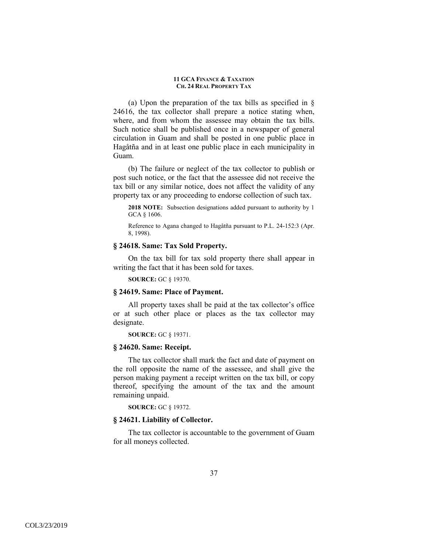(a) Upon the preparation of the tax bills as specified in § 24616, the tax collector shall prepare a notice stating when, where, and from whom the assessee may obtain the tax bills. Such notice shall be published once in a newspaper of general circulation in Guam and shall be posted in one public place in Hagåtña and in at least one public place in each municipality in Guam.

(b) The failure or neglect of the tax collector to publish or post such notice, or the fact that the assessee did not receive the tax bill or any similar notice, does not affect the validity of any property tax or any proceeding to endorse collection of such tax.

**2018 NOTE:** Subsection designations added pursuant to authority by 1 GCA § 1606.

Reference to Agana changed to Hagåtña pursuant to P.L. 24-152:3 (Apr. 8, 1998).

# **§ 24618. Same: Tax Sold Property.**

On the tax bill for tax sold property there shall appear in writing the fact that it has been sold for taxes.

**SOURCE:** GC § 19370.

## **§ 24619. Same: Place of Payment.**

All property taxes shall be paid at the tax collector's office or at such other place or places as the tax collector may designate.

**SOURCE:** GC § 19371.

# **§ 24620. Same: Receipt.**

The tax collector shall mark the fact and date of payment on the roll opposite the name of the assessee, and shall give the person making payment a receipt written on the tax bill, or copy thereof, specifying the amount of the tax and the amount remaining unpaid.

**SOURCE:** GC § 19372.

### **§ 24621. Liability of Collector.**

The tax collector is accountable to the government of Guam for all moneys collected.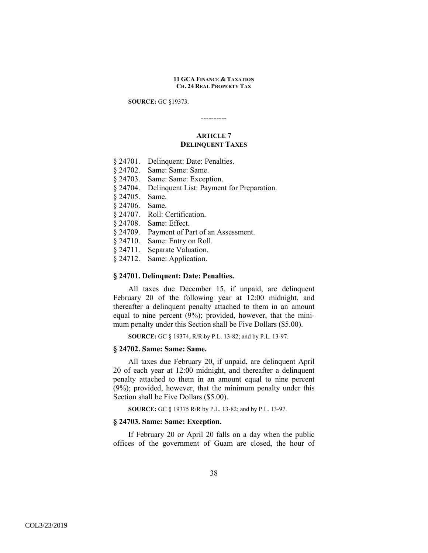**SOURCE:** GC §19373.

----------

# **ARTICLE 7 DELINQUENT TAXES**

- § 24701. Delinquent: Date: Penalties.
- § 24702. Same: Same: Same.
- § 24703. Same: Same: Exception.
- § 24704. Delinquent List: Payment for Preparation.
- § 24705. Same.
- § 24706. Same.
- § 24707. Roll: Certification.
- § 24708. Same: Effect.
- § 24709. Payment of Part of an Assessment.
- § 24710. Same: Entry on Roll.
- § 24711. Separate Valuation.
- § 24712. Same: Application.

## **§ 24701. Delinquent: Date: Penalties.**

All taxes due December 15, if unpaid, are delinquent February 20 of the following year at 12:00 midnight, and thereafter a delinquent penalty attached to them in an amount equal to nine percent (9%); provided, however, that the minimum penalty under this Section shall be Five Dollars (\$5.00).

**SOURCE:** GC § 19374, R/R by P.L. 13-82; and by P.L. 13-97.

# **§ 24702. Same: Same: Same.**

All taxes due February 20, if unpaid, are delinquent April 20 of each year at 12:00 midnight, and thereafter a delinquent penalty attached to them in an amount equal to nine percent (9%); provided, however, that the minimum penalty under this Section shall be Five Dollars (\$5.00).

**SOURCE:** GC § 19375 R/R by P.L. 13-82; and by P.L. 13-97.

## **§ 24703. Same: Same: Exception.**

If February 20 or April 20 falls on a day when the public offices of the government of Guam are closed, the hour of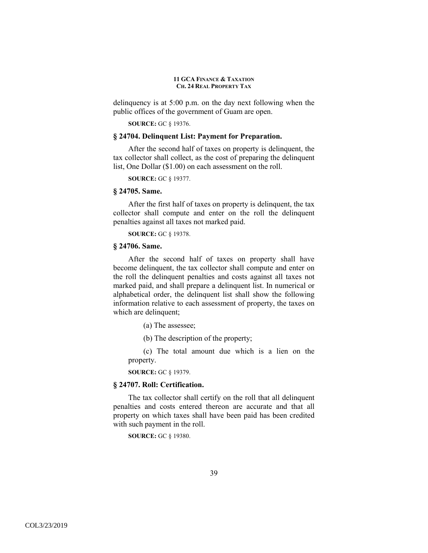delinquency is at 5:00 p.m. on the day next following when the public offices of the government of Guam are open.

**SOURCE:** GC § 19376.

# **§ 24704. Delinquent List: Payment for Preparation.**

After the second half of taxes on property is delinquent, the tax collector shall collect, as the cost of preparing the delinquent list, One Dollar (\$1.00) on each assessment on the roll.

**SOURCE:** GC § 19377.

# **§ 24705. Same.**

After the first half of taxes on property is delinquent, the tax collector shall compute and enter on the roll the delinquent penalties against all taxes not marked paid.

**SOURCE:** GC § 19378.

## **§ 24706. Same.**

After the second half of taxes on property shall have become delinquent, the tax collector shall compute and enter on the roll the delinquent penalties and costs against all taxes not marked paid, and shall prepare a delinquent list. In numerical or alphabetical order, the delinquent list shall show the following information relative to each assessment of property, the taxes on which are delinquent;

- (a) The assessee;
- (b) The description of the property;

(c) The total amount due which is a lien on the property.

**SOURCE:** GC § 19379.

### **§ 24707. Roll: Certification.**

The tax collector shall certify on the roll that all delinquent penalties and costs entered thereon are accurate and that all property on which taxes shall have been paid has been credited with such payment in the roll.

**SOURCE:** GC § 19380.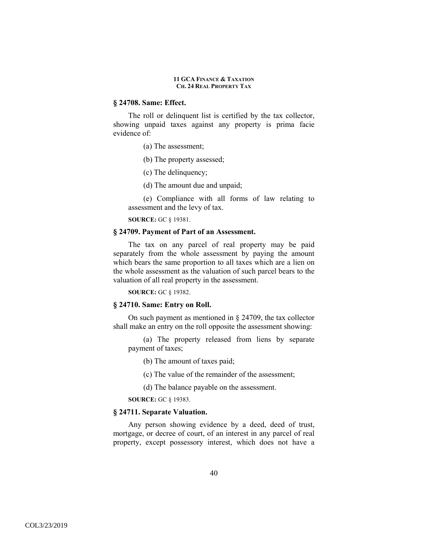### **§ 24708. Same: Effect.**

The roll or delinquent list is certified by the tax collector, showing unpaid taxes against any property is prima facie evidence of:

- (a) The assessment;
- (b) The property assessed;
- (c) The delinquency;
- (d) The amount due and unpaid;

(e) Compliance with all forms of law relating to assessment and the levy of tax.

**SOURCE:** GC § 19381.

### **§ 24709. Payment of Part of an Assessment.**

The tax on any parcel of real property may be paid separately from the whole assessment by paying the amount which bears the same proportion to all taxes which are a lien on the whole assessment as the valuation of such parcel bears to the valuation of all real property in the assessment.

**SOURCE:** GC § 19382.

# **§ 24710. Same: Entry on Roll.**

On such payment as mentioned in § 24709, the tax collector shall make an entry on the roll opposite the assessment showing:

(a) The property released from liens by separate payment of taxes;

(b) The amount of taxes paid;

(c) The value of the remainder of the assessment;

(d) The balance payable on the assessment.

**SOURCE:** GC § 19383.

### **§ 24711. Separate Valuation.**

Any person showing evidence by a deed, deed of trust, mortgage, or decree of court, of an interest in any parcel of real property, except possessory interest, which does not have a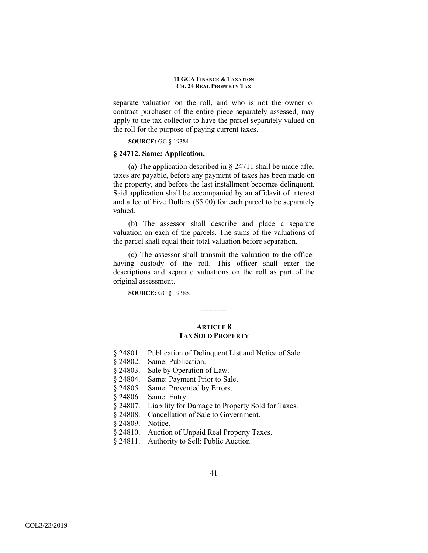separate valuation on the roll, and who is not the owner or contract purchaser of the entire piece separately assessed, may apply to the tax collector to have the parcel separately valued on the roll for the purpose of paying current taxes.

**SOURCE:** GC § 19384.

## **§ 24712. Same: Application.**

(a) The application described in  $\S$  24711 shall be made after taxes are payable, before any payment of taxes has been made on the property, and before the last installment becomes delinquent. Said application shall be accompanied by an affidavit of interest and a fee of Five Dollars (\$5.00) for each parcel to be separately valued.

(b) The assessor shall describe and place a separate valuation on each of the parcels. The sums of the valuations of the parcel shall equal their total valuation before separation.

(c) The assessor shall transmit the valuation to the officer having custody of the roll. This officer shall enter the descriptions and separate valuations on the roll as part of the original assessment.

**SOURCE:** GC § 19385.

----------

# **ARTICLE 8 TAX SOLD PROPERTY**

- § 24801. Publication of Delinquent List and Notice of Sale.
- § 24802. Same: Publication.
- § 24803. Sale by Operation of Law.
- § 24804. Same: Payment Prior to Sale.
- § 24805. Same: Prevented by Errors.
- § 24806. Same: Entry.
- § 24807. Liability for Damage to Property Sold for Taxes.
- § 24808. Cancellation of Sale to Government.
- § 24809. Notice.
- § 24810. Auction of Unpaid Real Property Taxes.
- § 24811. Authority to Sell: Public Auction.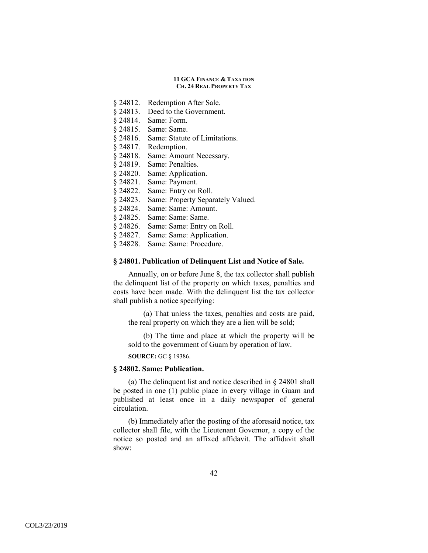- § 24812. Redemption After Sale.
- § 24813. Deed to the Government.
- § 24814. Same: Form.
- § 24815. Same: Same.
- § 24816. Same: Statute of Limitations.
- § 24817. Redemption.
- § 24818. Same: Amount Necessary.
- § 24819. Same: Penalties.
- § 24820. Same: Application.
- § 24821. Same: Payment.
- § 24822. Same: Entry on Roll.
- § 24823. Same: Property Separately Valued.
- § 24824. Same: Same: Amount.
- § 24825. Same: Same: Same.
- § 24826. Same: Same: Entry on Roll.
- § 24827. Same: Same: Application.
- § 24828. Same: Same: Procedure.

# **§ 24801. Publication of Delinquent List and Notice of Sale.**

Annually, on or before June 8, the tax collector shall publish the delinquent list of the property on which taxes, penalties and costs have been made. With the delinquent list the tax collector shall publish a notice specifying:

(a) That unless the taxes, penalties and costs are paid, the real property on which they are a lien will be sold;

(b) The time and place at which the property will be sold to the government of Guam by operation of law.

**SOURCE:** GC § 19386.

## **§ 24802. Same: Publication.**

(a) The delinquent list and notice described in § 24801 shall be posted in one (1) public place in every village in Guam and published at least once in a daily newspaper of general circulation.

(b) Immediately after the posting of the aforesaid notice, tax collector shall file, with the Lieutenant Governor, a copy of the notice so posted and an affixed affidavit. The affidavit shall show: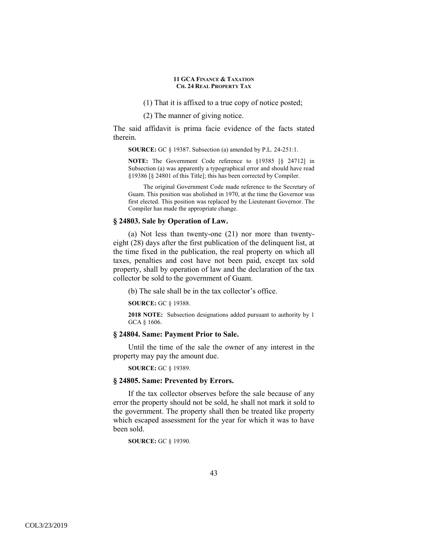(1) That it is affixed to a true copy of notice posted;

(2) The manner of giving notice.

The said affidavit is prima facie evidence of the facts stated therein.

**SOURCE:** GC § 19387. Subsection (a) amended by P.L. 24-251:1.

**NOTE:** The Government Code reference to §19385 [§ 24712] in Subsection (a) was apparently a typographical error and should have read §19386 [§ 24801 of this Title]; this has been corrected by Compiler.

The original Government Code made reference to the Secretary of Guam. This position was abolished in 1970, at the time the Governor was first elected. This position was replaced by the Lieutenant Governor. The Compiler has made the appropriate change.

#### **§ 24803. Sale by Operation of Law.**

(a) Not less than twenty-one (21) nor more than twentyeight (28) days after the first publication of the delinquent list, at the time fixed in the publication, the real property on which all taxes, penalties and cost have not been paid, except tax sold property, shall by operation of law and the declaration of the tax collector be sold to the government of Guam.

(b) The sale shall be in the tax collector's office.

**SOURCE:** GC § 19388.

**2018 NOTE:** Subsection designations added pursuant to authority by 1 GCA § 1606.

## **§ 24804. Same: Payment Prior to Sale.**

Until the time of the sale the owner of any interest in the property may pay the amount due.

**SOURCE:** GC § 19389.

### **§ 24805. Same: Prevented by Errors.**

If the tax collector observes before the sale because of any error the property should not be sold, he shall not mark it sold to the government. The property shall then be treated like property which escaped assessment for the year for which it was to have been sold.

**SOURCE:** GC § 19390.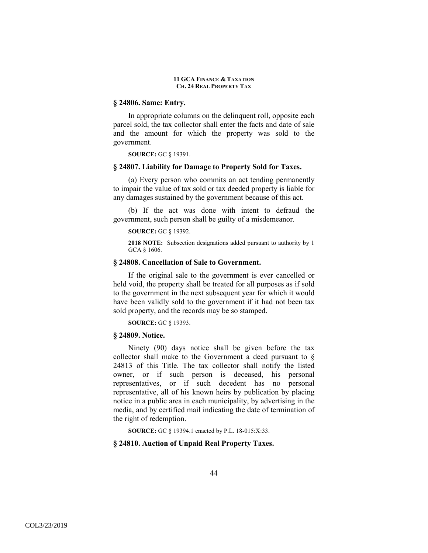### **§ 24806. Same: Entry.**

In appropriate columns on the delinquent roll, opposite each parcel sold, the tax collector shall enter the facts and date of sale and the amount for which the property was sold to the government.

**SOURCE:** GC § 19391.

### **§ 24807. Liability for Damage to Property Sold for Taxes.**

(a) Every person who commits an act tending permanently to impair the value of tax sold or tax deeded property is liable for any damages sustained by the government because of this act.

(b) If the act was done with intent to defraud the government, such person shall be guilty of a misdemeanor.

#### **SOURCE:** GC § 19392.

**2018 NOTE:** Subsection designations added pursuant to authority by 1 GCA § 1606.

### **§ 24808. Cancellation of Sale to Government.**

If the original sale to the government is ever cancelled or held void, the property shall be treated for all purposes as if sold to the government in the next subsequent year for which it would have been validly sold to the government if it had not been tax sold property, and the records may be so stamped.

**SOURCE:** GC § 19393.

#### **§ 24809. Notice.**

Ninety (90) days notice shall be given before the tax collector shall make to the Government a deed pursuant to § 24813 of this Title. The tax collector shall notify the listed owner, or if such person is deceased, his personal representatives, or if such decedent has no personal representative, all of his known heirs by publication by placing notice in a public area in each municipality, by advertising in the media, and by certified mail indicating the date of termination of the right of redemption.

**SOURCE:** GC § 19394.1 enacted by P.L. 18-015:X:33.

# **§ 24810. Auction of Unpaid Real Property Taxes.**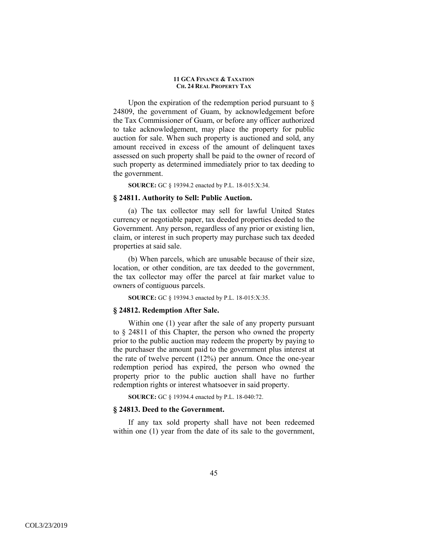Upon the expiration of the redemption period pursuant to  $\S$ 24809, the government of Guam, by acknowledgement before the Tax Commissioner of Guam, or before any officer authorized to take acknowledgement, may place the property for public auction for sale. When such property is auctioned and sold, any amount received in excess of the amount of delinquent taxes assessed on such property shall be paid to the owner of record of such property as determined immediately prior to tax deeding to the government.

**SOURCE:** GC § 19394.2 enacted by P.L. 18-015:X:34.

## **§ 24811. Authority to Sell: Public Auction.**

(a) The tax collector may sell for lawful United States currency or negotiable paper, tax deeded properties deeded to the Government. Any person, regardless of any prior or existing lien, claim, or interest in such property may purchase such tax deeded properties at said sale.

(b) When parcels, which are unusable because of their size, location, or other condition, are tax deeded to the government, the tax collector may offer the parcel at fair market value to owners of contiguous parcels.

**SOURCE:** GC § 19394.3 enacted by P.L. 18-015:X:35.

# **§ 24812. Redemption After Sale.**

Within one (1) year after the sale of any property pursuant to § 24811 of this Chapter, the person who owned the property prior to the public auction may redeem the property by paying to the purchaser the amount paid to the government plus interest at the rate of twelve percent (12%) per annum. Once the one-year redemption period has expired, the person who owned the property prior to the public auction shall have no further redemption rights or interest whatsoever in said property.

**SOURCE:** GC § 19394.4 enacted by P.L. 18-040:72.

#### **§ 24813. Deed to the Government.**

If any tax sold property shall have not been redeemed within one (1) year from the date of its sale to the government,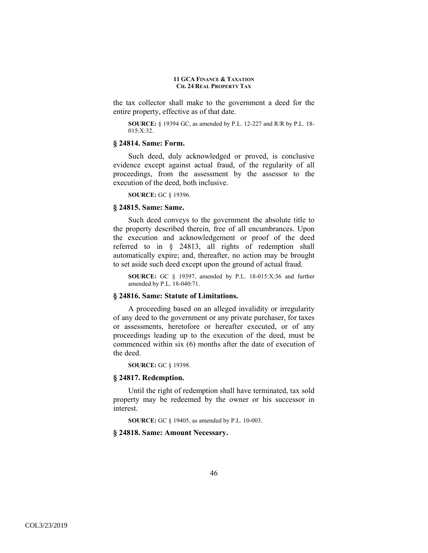the tax collector shall make to the government a deed for the entire property, effective as of that date.

**SOURCE:** § 19394 GC, as amended by P.L. 12-227 and R/R by P.L. 18- 015:X:32.

#### **§ 24814. Same: Form.**

Such deed, duly acknowledged or proved, is conclusive evidence except against actual fraud, of the regularity of all proceedings, from the assessment by the assessor to the execution of the deed, both inclusive.

**SOURCE:** GC § 19396.

#### **§ 24815. Same: Same.**

Such deed conveys to the government the absolute title to the property described therein, free of all encumbrances. Upon the execution and acknowledgement or proof of the deed referred to in § 24813, all rights of redemption shall automatically expire; and, thereafter, no action may be brought to set aside such deed except upon the ground of actual fraud.

**SOURCE:** GC § 19397, amended by P.L. 18-015:X:36 and further amended by P.L. 18-040:71.

# **§ 24816. Same: Statute of Limitations.**

A proceeding based on an alleged invalidity or irregularity of any deed to the government or any private purchaser, for taxes or assessments, heretofore or hereafter executed, or of any proceedings leading up to the execution of the deed, must be commenced within six (6) months after the date of execution of the deed.

**SOURCE:** GC § 19398.

#### **§ 24817. Redemption.**

Until the right of redemption shall have terminated, tax sold property may be redeemed by the owner or his successor in interest.

**SOURCE:** GC § 19405, as amended by P.L. 10-003.

#### **§ 24818. Same: Amount Necessary.**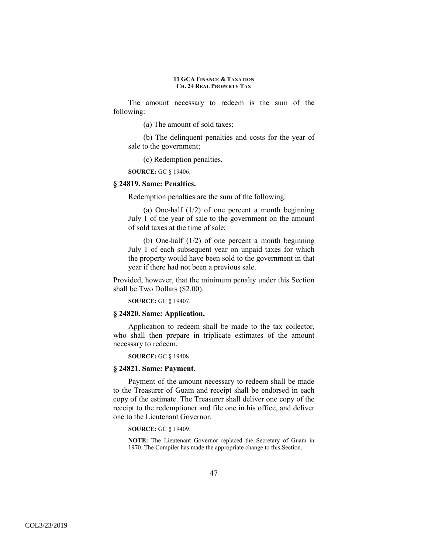The amount necessary to redeem is the sum of the following:

(a) The amount of sold taxes;

(b) The delinquent penalties and costs for the year of sale to the government;

(c) Redemption penalties.

**SOURCE:** GC § 19406.

# **§ 24819. Same: Penalties.**

Redemption penalties are the sum of the following:

(a) One-half  $(1/2)$  of one percent a month beginning July 1 of the year of sale to the government on the amount of sold taxes at the time of sale;

(b) One-half (1/2) of one percent a month beginning July 1 of each subsequent year on unpaid taxes for which the property would have been sold to the government in that year if there had not been a previous sale.

Provided, however, that the minimum penalty under this Section shall be Two Dollars (\$2.00).

**SOURCE:** GC § 19407.

### **§ 24820. Same: Application.**

Application to redeem shall be made to the tax collector, who shall then prepare in triplicate estimates of the amount necessary to redeem.

**SOURCE:** GC § 19408.

#### **§ 24821. Same: Payment.**

Payment of the amount necessary to redeem shall be made to the Treasurer of Guam and receipt shall be endorsed in each copy of the estimate. The Treasurer shall deliver one copy of the receipt to the redemptioner and file one in his office, and deliver one to the Lieutenant Governor.

**SOURCE:** GC § 19409.

**NOTE:** The Lieutenant Governor replaced the Secretary of Guam in 1970. The Compiler has made the appropriate change to this Section.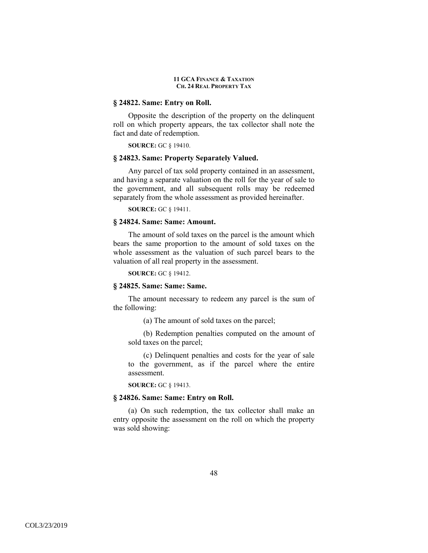### **§ 24822. Same: Entry on Roll.**

Opposite the description of the property on the delinquent roll on which property appears, the tax collector shall note the fact and date of redemption.

**SOURCE:** GC § 19410.

## **§ 24823. Same: Property Separately Valued.**

Any parcel of tax sold property contained in an assessment, and having a separate valuation on the roll for the year of sale to the government, and all subsequent rolls may be redeemed separately from the whole assessment as provided hereinafter.

**SOURCE:** GC § 19411.

# **§ 24824. Same: Same: Amount.**

The amount of sold taxes on the parcel is the amount which bears the same proportion to the amount of sold taxes on the whole assessment as the valuation of such parcel bears to the valuation of all real property in the assessment.

**SOURCE:** GC § 19412.

# **§ 24825. Same: Same: Same.**

The amount necessary to redeem any parcel is the sum of the following:

(a) The amount of sold taxes on the parcel;

(b) Redemption penalties computed on the amount of sold taxes on the parcel;

(c) Delinquent penalties and costs for the year of sale to the government, as if the parcel where the entire assessment.

**SOURCE:** GC § 19413.

### **§ 24826. Same: Same: Entry on Roll.**

(a) On such redemption, the tax collector shall make an entry opposite the assessment on the roll on which the property was sold showing: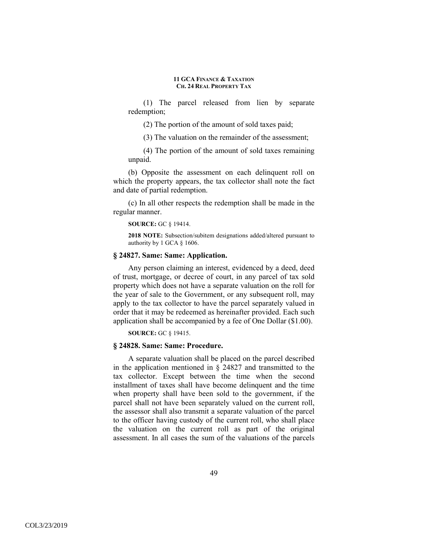(1) The parcel released from lien by separate redemption;

(2) The portion of the amount of sold taxes paid;

(3) The valuation on the remainder of the assessment;

(4) The portion of the amount of sold taxes remaining unpaid.

(b) Opposite the assessment on each delinquent roll on which the property appears, the tax collector shall note the fact and date of partial redemption.

(c) In all other respects the redemption shall be made in the regular manner.

**SOURCE:** GC § 19414.

**2018 NOTE:** Subsection/subitem designations added/altered pursuant to authority by 1 GCA § 1606.

# **§ 24827. Same: Same: Application.**

Any person claiming an interest, evidenced by a deed, deed of trust, mortgage, or decree of court, in any parcel of tax sold property which does not have a separate valuation on the roll for the year of sale to the Government, or any subsequent roll, may apply to the tax collector to have the parcel separately valued in order that it may be redeemed as hereinafter provided. Each such application shall be accompanied by a fee of One Dollar (\$1.00).

**SOURCE:** GC § 19415.

### **§ 24828. Same: Same: Procedure.**

A separate valuation shall be placed on the parcel described in the application mentioned in § 24827 and transmitted to the tax collector. Except between the time when the second installment of taxes shall have become delinquent and the time when property shall have been sold to the government, if the parcel shall not have been separately valued on the current roll, the assessor shall also transmit a separate valuation of the parcel to the officer having custody of the current roll, who shall place the valuation on the current roll as part of the original assessment. In all cases the sum of the valuations of the parcels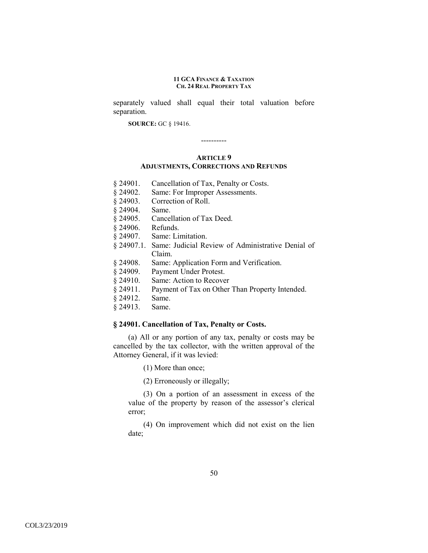separately valued shall equal their total valuation before separation.

**SOURCE:** GC § 19416.

#### **ARTICLE 9**

----------

### **ADJUSTMENTS, CORRECTIONS AND REFUNDS**

- § 24901. Cancellation of Tax, Penalty or Costs.
- § 24902. Same: For Improper Assessments.
- § 24903. Correction of Roll.
- § 24904. Same.
- § 24905. Cancellation of Tax Deed.
- § 24906. Refunds.
- § 24907. Same: Limitation.
- § 24907.1. Same: Judicial Review of Administrative Denial of Claim.
- § 24908. Same: Application Form and Verification.
- § 24909. Payment Under Protest.
- § 24910. Same: Action to Recover
- § 24911. Payment of Tax on Other Than Property Intended.
- § 24912. Same.
- § 24913. Same.

### **§ 24901. Cancellation of Tax, Penalty or Costs.**

(a) All or any portion of any tax, penalty or costs may be cancelled by the tax collector, with the written approval of the Attorney General, if it was levied:

(1) More than once;

(2) Erroneously or illegally;

(3) On a portion of an assessment in excess of the value of the property by reason of the assessor's clerical error;

(4) On improvement which did not exist on the lien date;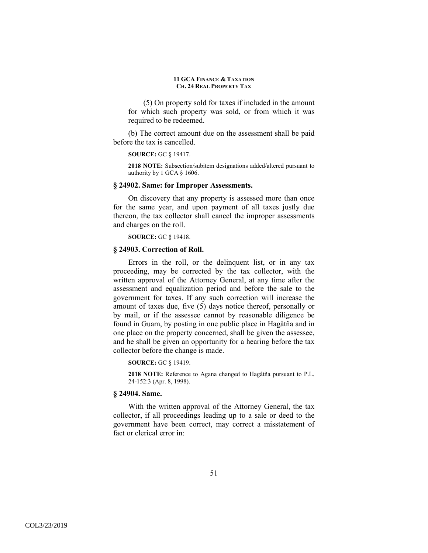(5) On property sold for taxes if included in the amount for which such property was sold, or from which it was required to be redeemed.

(b) The correct amount due on the assessment shall be paid before the tax is cancelled.

#### **SOURCE:** GC § 19417.

**2018 NOTE:** Subsection/subitem designations added/altered pursuant to authority by 1 GCA § 1606.

### **§ 24902. Same: for Improper Assessments.**

On discovery that any property is assessed more than once for the same year, and upon payment of all taxes justly due thereon, the tax collector shall cancel the improper assessments and charges on the roll.

**SOURCE:** GC § 19418.

### **§ 24903. Correction of Roll.**

Errors in the roll, or the delinquent list, or in any tax proceeding, may be corrected by the tax collector, with the written approval of the Attorney General, at any time after the assessment and equalization period and before the sale to the government for taxes. If any such correction will increase the amount of taxes due, five (5) days notice thereof, personally or by mail, or if the assessee cannot by reasonable diligence be found in Guam, by posting in one public place in Hagåtña and in one place on the property concerned, shall be given the assessee, and he shall be given an opportunity for a hearing before the tax collector before the change is made.

**SOURCE:** GC § 19419.

**2018 NOTE:** Reference to Agana changed to Hagåtña pursuant to P.L. 24-152:3 (Apr. 8, 1998).

### **§ 24904. Same.**

With the written approval of the Attorney General, the tax collector, if all proceedings leading up to a sale or deed to the government have been correct, may correct a misstatement of fact or clerical error in: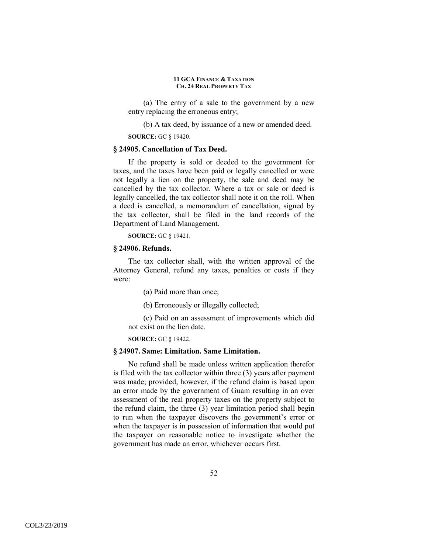(a) The entry of a sale to the government by a new entry replacing the erroneous entry;

(b) A tax deed, by issuance of a new or amended deed.

**SOURCE:** GC § 19420.

# **§ 24905. Cancellation of Tax Deed.**

If the property is sold or deeded to the government for taxes, and the taxes have been paid or legally cancelled or were not legally a lien on the property, the sale and deed may be cancelled by the tax collector. Where a tax or sale or deed is legally cancelled, the tax collector shall note it on the roll. When a deed is cancelled, a memorandum of cancellation, signed by the tax collector, shall be filed in the land records of the Department of Land Management.

**SOURCE:** GC § 19421.

#### **§ 24906. Refunds.**

The tax collector shall, with the written approval of the Attorney General, refund any taxes, penalties or costs if they were:

(a) Paid more than once;

(b) Erroneously or illegally collected;

(c) Paid on an assessment of improvements which did not exist on the lien date.

**SOURCE:** GC § 19422.

#### **§ 24907. Same: Limitation. Same Limitation.**

No refund shall be made unless written application therefor is filed with the tax collector within three (3) years after payment was made; provided, however, if the refund claim is based upon an error made by the government of Guam resulting in an over assessment of the real property taxes on the property subject to the refund claim, the three (3) year limitation period shall begin to run when the taxpayer discovers the government's error or when the taxpayer is in possession of information that would put the taxpayer on reasonable notice to investigate whether the government has made an error, whichever occurs first.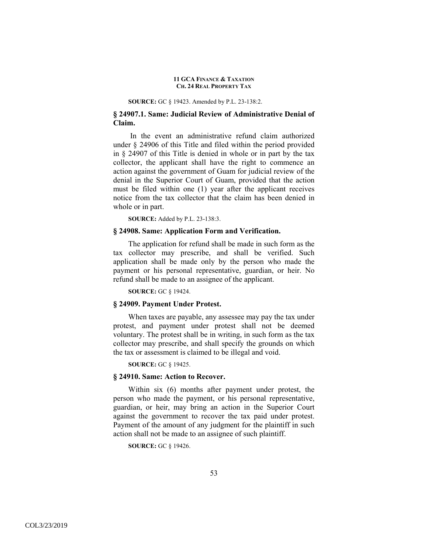#### **SOURCE:** GC § 19423. Amended by P.L. 23-138:2.

# **§ 24907.1. Same: Judicial Review of Administrative Denial of Claim.**

 In the event an administrative refund claim authorized under § 24906 of this Title and filed within the period provided in § 24907 of this Title is denied in whole or in part by the tax collector, the applicant shall have the right to commence an action against the government of Guam for judicial review of the denial in the Superior Court of Guam, provided that the action must be filed within one (1) year after the applicant receives notice from the tax collector that the claim has been denied in whole or in part.

**SOURCE:** Added by P.L. 23-138:3.

## **§ 24908. Same: Application Form and Verification.**

The application for refund shall be made in such form as the tax collector may prescribe, and shall be verified. Such application shall be made only by the person who made the payment or his personal representative, guardian, or heir. No refund shall be made to an assignee of the applicant.

**SOURCE:** GC § 19424.

# **§ 24909. Payment Under Protest.**

When taxes are payable, any assessee may pay the tax under protest, and payment under protest shall not be deemed voluntary. The protest shall be in writing, in such form as the tax collector may prescribe, and shall specify the grounds on which the tax or assessment is claimed to be illegal and void.

**SOURCE:** GC § 19425.

### **§ 24910. Same: Action to Recover.**

Within six (6) months after payment under protest, the person who made the payment, or his personal representative, guardian, or heir, may bring an action in the Superior Court against the government to recover the tax paid under protest. Payment of the amount of any judgment for the plaintiff in such action shall not be made to an assignee of such plaintiff.

**SOURCE:** GC § 19426.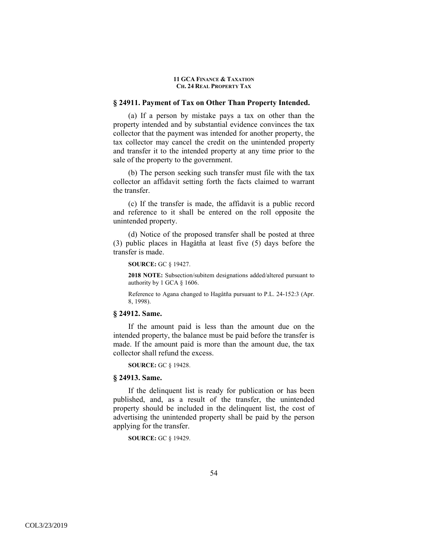### **§ 24911. Payment of Tax on Other Than Property Intended.**

(a) If a person by mistake pays a tax on other than the property intended and by substantial evidence convinces the tax collector that the payment was intended for another property, the tax collector may cancel the credit on the unintended property and transfer it to the intended property at any time prior to the sale of the property to the government.

(b) The person seeking such transfer must file with the tax collector an affidavit setting forth the facts claimed to warrant the transfer.

(c) If the transfer is made, the affidavit is a public record and reference to it shall be entered on the roll opposite the unintended property.

(d) Notice of the proposed transfer shall be posted at three (3) public places in Hagåtña at least five (5) days before the transfer is made.

#### **SOURCE:** GC § 19427.

**2018 NOTE:** Subsection/subitem designations added/altered pursuant to authority by 1 GCA § 1606.

Reference to Agana changed to Hagåtña pursuant to P.L. 24-152:3 (Apr. 8, 1998).

#### **§ 24912. Same.**

If the amount paid is less than the amount due on the intended property, the balance must be paid before the transfer is made. If the amount paid is more than the amount due, the tax collector shall refund the excess.

**SOURCE:** GC § 19428.

### **§ 24913. Same.**

If the delinquent list is ready for publication or has been published, and, as a result of the transfer, the unintended property should be included in the delinquent list, the cost of advertising the unintended property shall be paid by the person applying for the transfer.

**SOURCE:** GC § 19429.